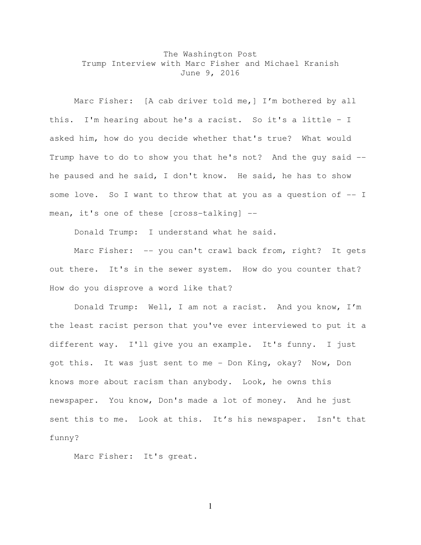## The Washington Post Trump Interview with Marc Fisher and Michael Kranish June 9, 2016

Marc Fisher: [A cab driver told me,] I'm bothered by all this. I'm hearing about he's a racist. So it's a little – I asked him, how do you decide whether that's true? What would Trump have to do to show you that he's not? And the guy said - he paused and he said, I don't know. He said, he has to show some love. So I want to throw that at you as a question of  $-$ - I mean, it's one of these [cross-talking] --

Donald Trump: I understand what he said.

Marc Fisher: -- you can't crawl back from, right? It gets out there. It's in the sewer system. How do you counter that? How do you disprove a word like that?

Donald Trump: Well, I am not a racist. And you know, I'm the least racist person that you've ever interviewed to put it a different way. I'll give you an example. It's funny. I just got this. It was just sent to me - Don King, okay? Now, Don knows more about racism than anybody. Look, he owns this newspaper. You know, Don's made a lot of money. And he just sent this to me. Look at this. It's his newspaper. Isn't that funny?

Marc Fisher: It's great.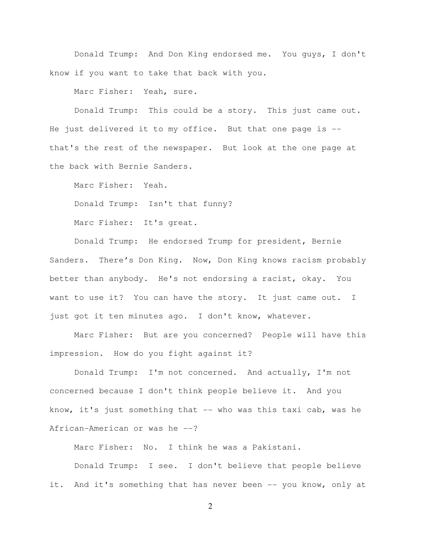Donald Trump: And Don King endorsed me. You guys, I don't know if you want to take that back with you.

Marc Fisher: Yeah, sure.

Donald Trump: This could be a story. This just came out. He just delivered it to my office. But that one page is - that's the rest of the newspaper. But look at the one page at the back with Bernie Sanders.

Marc Fisher: Yeah.

Donald Trump: Isn't that funny?

Marc Fisher: It's great.

Donald Trump: He endorsed Trump for president, Bernie Sanders. There's Don King. Now, Don King knows racism probably better than anybody. He's not endorsing a racist, okay. You want to use it? You can have the story. It just came out. I just got it ten minutes ago. I don't know, whatever.

Marc Fisher: But are you concerned? People will have this impression. How do you fight against it?

Donald Trump: I'm not concerned. And actually, I'm not concerned because I don't think people believe it. And you know, it's just something that -- who was this taxi cab, was he African-American or was he --?

Marc Fisher: No. I think he was a Pakistani. Donald Trump: I see. I don't believe that people believe it. And it's something that has never been -- you know, only at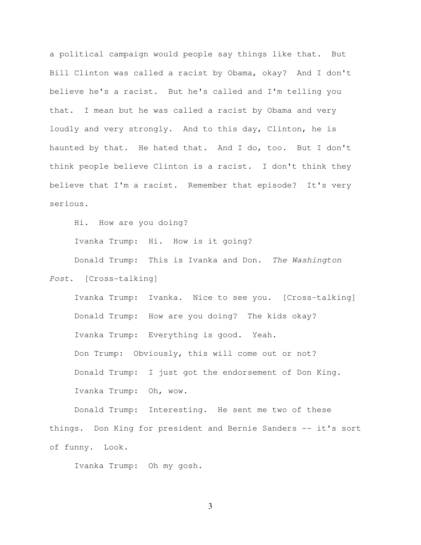a political campaign would people say things like that. But Bill Clinton was called a racist by Obama, okay? And I don't believe he's a racist. But he's called and I'm telling you that. I mean but he was called a racist by Obama and very loudly and very strongly. And to this day, Clinton, he is haunted by that. He hated that. And I do, too. But I don't think people believe Clinton is a racist. I don't think they believe that I'm a racist. Remember that episode? It's very serious.

Hi. How are you doing?

Ivanka Trump: Hi. How is it going?

Donald Trump: This is Ivanka and Don. The Washington

Post. [Cross-talking]

Ivanka Trump: Ivanka. Nice to see you. [Cross-talking] Donald Trump: How are you doing? The kids okay? Ivanka Trump: Everything is good. Yeah. Don Trump: Obviously, this will come out or not? Donald Trump: I just got the endorsement of Don King. Ivanka Trump: Oh, wow.

Donald Trump: Interesting. He sent me two of these things. Don King for president and Bernie Sanders -- it's sort of funny. Look.

Ivanka Trump: Oh my gosh.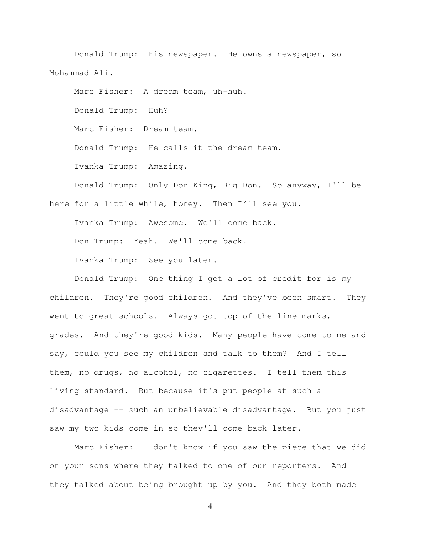Donald Trump: His newspaper. He owns a newspaper, so Mohammad Ali.

Marc Fisher: A dream team, uh-huh. Donald Trump: Huh? Marc Fisher: Dream team. Donald Trump: He calls it the dream team. Ivanka Trump: Amazing. Donald Trump: Only Don King, Big Don. So anyway, I'll be here for a little while, honey. Then I'll see you.

Ivanka Trump: Awesome. We'll come back. Don Trump: Yeah. We'll come back. Ivanka Trump: See you later.

Donald Trump: One thing I get a lot of credit for is my children. They're good children. And they've been smart. They went to great schools. Always got top of the line marks, grades. And they're good kids. Many people have come to me and say, could you see my children and talk to them? And I tell them, no drugs, no alcohol, no cigarettes. I tell them this living standard. But because it's put people at such a disadvantage -- such an unbelievable disadvantage. But you just saw my two kids come in so they'll come back later.

Marc Fisher: I don't know if you saw the piece that we did on your sons where they talked to one of our reporters. And they talked about being brought up by you. And they both made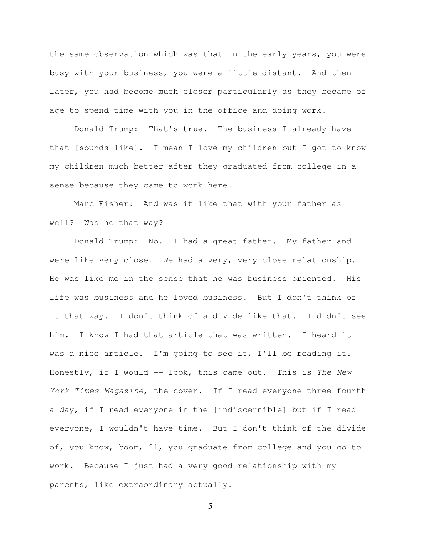the same observation which was that in the early years, you were busy with your business, you were a little distant. And then later, you had become much closer particularly as they became of age to spend time with you in the office and doing work.

Donald Trump: That's true. The business I already have that [sounds like]. I mean I love my children but I got to know my children much better after they graduated from college in a sense because they came to work here.

Marc Fisher: And was it like that with your father as well? Was he that way?

Donald Trump: No. I had a great father. My father and I were like very close. We had a very, very close relationship. He was like me in the sense that he was business oriented. His life was business and he loved business. But I don't think of it that way. I don't think of a divide like that. I didn't see him. I know I had that article that was written. I heard it was a nice article. I'm going to see it, I'll be reading it. Honestly, if I would -- look, this came out. This is The New York Times Magazine, the cover. If I read everyone three-fourth a day, if I read everyone in the [indiscernible] but if I read everyone, I wouldn't have time. But I don't think of the divide of, you know, boom, 21, you graduate from college and you go to work. Because I just had a very good relationship with my parents, like extraordinary actually.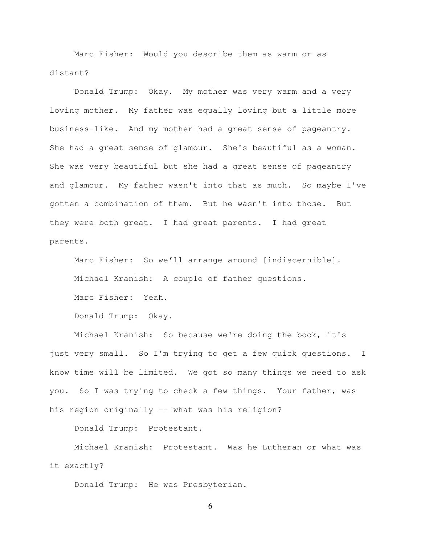Marc Fisher: Would you describe them as warm or as distant?

Donald Trump: Okay. My mother was very warm and a very loving mother. My father was equally loving but a little more business-like. And my mother had a great sense of pageantry. She had a great sense of glamour. She's beautiful as a woman. She was very beautiful but she had a great sense of pageantry and glamour. My father wasn't into that as much. So maybe I've gotten a combination of them. But he wasn't into those. But they were both great. I had great parents. I had great parents.

Marc Fisher: So we'll arrange around [indiscernible]. Michael Kranish: A couple of father questions. Marc Fisher: Yeah.

Donald Trump: Okay.

Michael Kranish: So because we're doing the book, it's just very small. So I'm trying to get a few quick questions. I know time will be limited. We got so many things we need to ask you. So I was trying to check a few things. Your father, was his region originally -- what was his religion?

Donald Trump: Protestant.

Michael Kranish: Protestant. Was he Lutheran or what was it exactly?

Donald Trump: He was Presbyterian.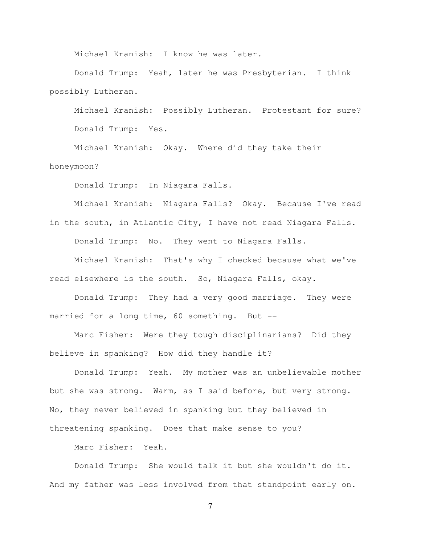Michael Kranish: I know he was later.

Donald Trump: Yeah, later he was Presbyterian. I think possibly Lutheran.

Michael Kranish: Possibly Lutheran. Protestant for sure? Donald Trump: Yes.

Michael Kranish: Okay. Where did they take their honeymoon?

Donald Trump: In Niagara Falls.

Michael Kranish: Niagara Falls? Okay. Because I've read in the south, in Atlantic City, I have not read Niagara Falls. Donald Trump: No. They went to Niagara Falls.

Michael Kranish: That's why I checked because what we've read elsewhere is the south. So, Niagara Falls, okay.

Donald Trump: They had a very good marriage. They were married for a long time, 60 something. But --

Marc Fisher: Were they tough disciplinarians? Did they believe in spanking? How did they handle it?

Donald Trump: Yeah. My mother was an unbelievable mother but she was strong. Warm, as I said before, but very strong. No, they never believed in spanking but they believed in threatening spanking. Does that make sense to you?

Marc Fisher: Yeah.

Donald Trump: She would talk it but she wouldn't do it. And my father was less involved from that standpoint early on.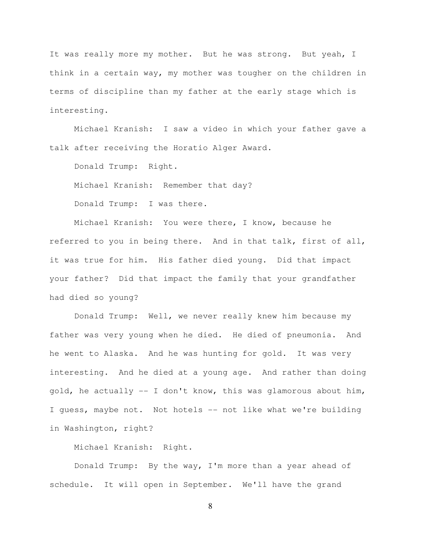It was really more my mother. But he was strong. But yeah, I think in a certain way, my mother was tougher on the children in terms of discipline than my father at the early stage which is interesting.

Michael Kranish: I saw a video in which your father gave a talk after receiving the Horatio Alger Award.

Donald Trump: Right.

Michael Kranish: Remember that day?

Donald Trump: I was there.

Michael Kranish: You were there, I know, because he referred to you in being there. And in that talk, first of all, it was true for him. His father died young. Did that impact your father? Did that impact the family that your grandfather had died so young?

Donald Trump: Well, we never really knew him because my father was very young when he died. He died of pneumonia. And he went to Alaska. And he was hunting for gold. It was very interesting. And he died at a young age. And rather than doing gold, he actually  $-$  I don't know, this was glamorous about him, I guess, maybe not. Not hotels -- not like what we're building in Washington, right?

Michael Kranish: Right.

Donald Trump: By the way, I'm more than a year ahead of schedule. It will open in September. We'll have the grand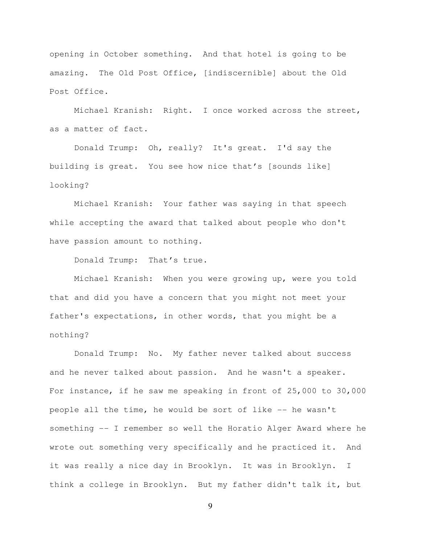opening in October something. And that hotel is going to be amazing. The Old Post Office, [indiscernible] about the Old Post Office.

Michael Kranish: Right. I once worked across the street, as a matter of fact.

Donald Trump: Oh, really? It's great. I'd say the building is great. You see how nice that's [sounds like] looking?

Michael Kranish: Your father was saying in that speech while accepting the award that talked about people who don't have passion amount to nothing.

Donald Trump: That's true.

Michael Kranish: When you were growing up, were you told that and did you have a concern that you might not meet your father's expectations, in other words, that you might be a nothing?

Donald Trump: No. My father never talked about success and he never talked about passion. And he wasn't a speaker. For instance, if he saw me speaking in front of 25,000 to 30,000 people all the time, he would be sort of like -- he wasn't something -- I remember so well the Horatio Alger Award where he wrote out something very specifically and he practiced it. And it was really a nice day in Brooklyn. It was in Brooklyn. I think a college in Brooklyn. But my father didn't talk it, but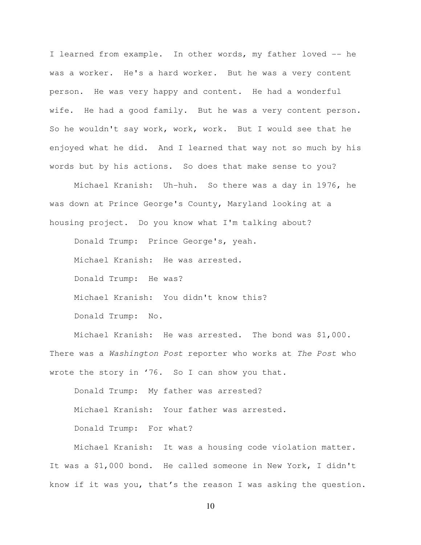I learned from example. In other words, my father loved -- he was a worker. He's a hard worker. But he was a very content person. He was very happy and content. He had a wonderful wife. He had a good family. But he was a very content person. So he wouldn't say work, work, work. But I would see that he enjoyed what he did. And I learned that way not so much by his words but by his actions. So does that make sense to you?

Michael Kranish: Uh-huh. So there was a day in 1976, he was down at Prince George's County, Maryland looking at a housing project. Do you know what I'm talking about?

Donald Trump: Prince George's, yeah. Michael Kranish: He was arrested. Donald Trump: He was? Michael Kranish: You didn't know this? Donald Trump: No.

Michael Kranish: He was arrested. The bond was \$1,000. There was a Washington Post reporter who works at The Post who wrote the story in '76. So I can show you that.

Donald Trump: My father was arrested? Michael Kranish: Your father was arrested. Donald Trump: For what?

Michael Kranish: It was a housing code violation matter. It was a \$1,000 bond. He called someone in New York, I didn't know if it was you, that's the reason I was asking the question.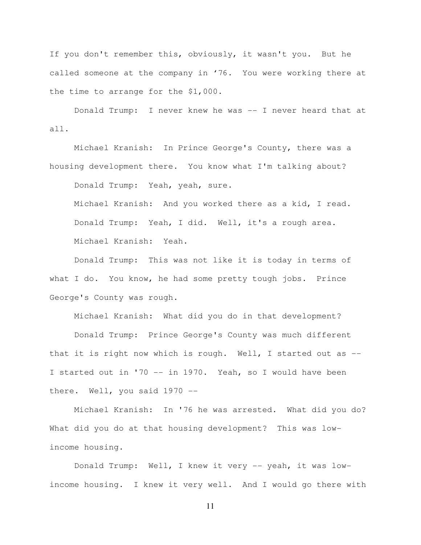If you don't remember this, obviously, it wasn't you. But he called someone at the company in '76. You were working there at the time to arrange for the \$1,000.

Donald Trump: I never knew he was -- I never heard that at all.

Michael Kranish: In Prince George's County, there was a housing development there. You know what I'm talking about?

Donald Trump: Yeah, yeah, sure.

Michael Kranish: And you worked there as a kid, I read. Donald Trump: Yeah, I did. Well, it's a rough area. Michael Kranish: Yeah.

Donald Trump: This was not like it is today in terms of what I do. You know, he had some pretty tough jobs. Prince George's County was rough.

Michael Kranish: What did you do in that development?

Donald Trump: Prince George's County was much different that it is right now which is rough. Well, I started out as -- I started out in '70 -- in 1970. Yeah, so I would have been there. Well, you said 1970 --

Michael Kranish: In '76 he was arrested. What did you do? What did you do at that housing development? This was lowincome housing.

Donald Trump: Well, I knew it very -- yeah, it was lowincome housing. I knew it very well. And I would go there with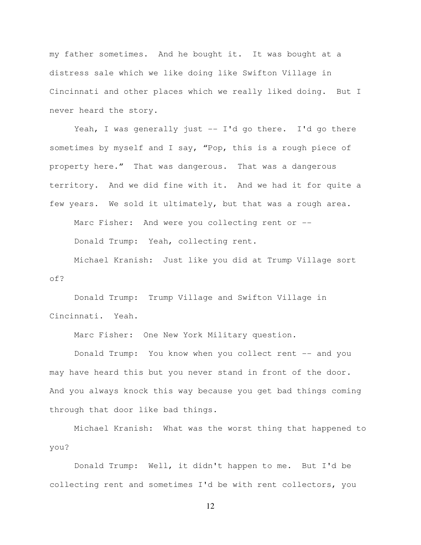my father sometimes. And he bought it. It was bought at a distress sale which we like doing like Swifton Village in Cincinnati and other places which we really liked doing. But I never heard the story.

Yeah, I was generally just -- I'd go there. I'd go there sometimes by myself and I say, "Pop, this is a rough piece of property here." That was dangerous. That was a dangerous territory. And we did fine with it. And we had it for quite a few years. We sold it ultimately, but that was a rough area.

Marc Fisher: And were you collecting rent or --Donald Trump: Yeah, collecting rent.

Michael Kranish: Just like you did at Trump Village sort of?

Donald Trump: Trump Village and Swifton Village in Cincinnati. Yeah.

Marc Fisher: One New York Military question.

Donald Trump: You know when you collect rent -- and you may have heard this but you never stand in front of the door. And you always knock this way because you get bad things coming through that door like bad things.

Michael Kranish: What was the worst thing that happened to you?

Donald Trump: Well, it didn't happen to me. But I'd be collecting rent and sometimes I'd be with rent collectors, you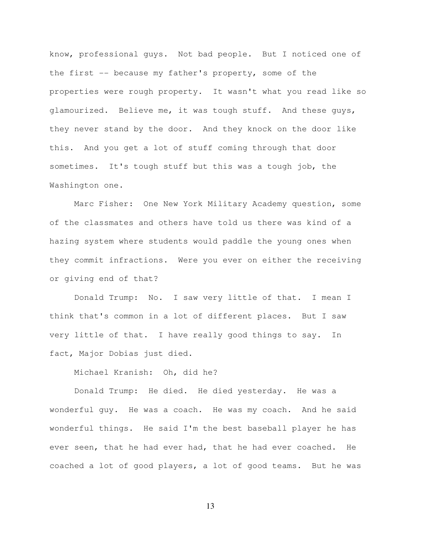know, professional guys. Not bad people. But I noticed one of the first -- because my father's property, some of the properties were rough property. It wasn't what you read like so glamourized. Believe me, it was tough stuff. And these guys, they never stand by the door. And they knock on the door like this. And you get a lot of stuff coming through that door sometimes. It's tough stuff but this was a tough job, the Washington one.

Marc Fisher: One New York Military Academy question, some of the classmates and others have told us there was kind of a hazing system where students would paddle the young ones when they commit infractions. Were you ever on either the receiving or giving end of that?

Donald Trump: No. I saw very little of that. I mean I think that's common in a lot of different places. But I saw very little of that. I have really good things to say. In fact, Major Dobias just died.

Michael Kranish: Oh, did he?

Donald Trump: He died. He died yesterday. He was a wonderful guy. He was a coach. He was my coach. And he said wonderful things. He said I'm the best baseball player he has ever seen, that he had ever had, that he had ever coached. He coached a lot of good players, a lot of good teams. But he was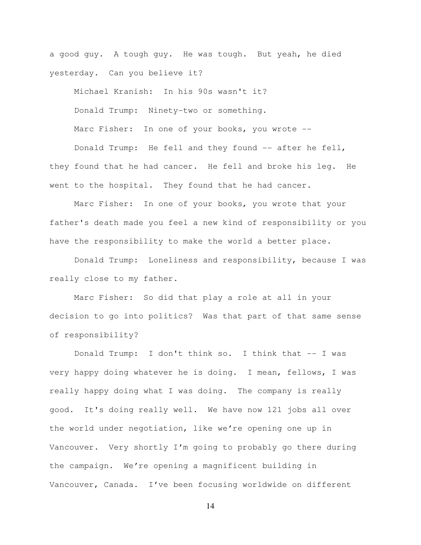a good guy. A tough guy. He was tough. But yeah, he died yesterday. Can you believe it?

Michael Kranish: In his 90s wasn't it? Donald Trump: Ninety-two or something. Marc Fisher: In one of your books, you wrote --Donald Trump: He fell and they found -- after he fell,

they found that he had cancer. He fell and broke his leg. He went to the hospital. They found that he had cancer.

Marc Fisher: In one of your books, you wrote that your father's death made you feel a new kind of responsibility or you have the responsibility to make the world a better place.

Donald Trump: Loneliness and responsibility, because I was really close to my father.

Marc Fisher: So did that play a role at all in your decision to go into politics? Was that part of that same sense of responsibility?

Donald Trump: I don't think so. I think that -- I was very happy doing whatever he is doing. I mean, fellows, I was really happy doing what I was doing. The company is really good. It's doing really well. We have now 121 jobs all over the world under negotiation, like we're opening one up in Vancouver. Very shortly I'm going to probably go there during the campaign. We're opening a magnificent building in Vancouver, Canada. I've been focusing worldwide on different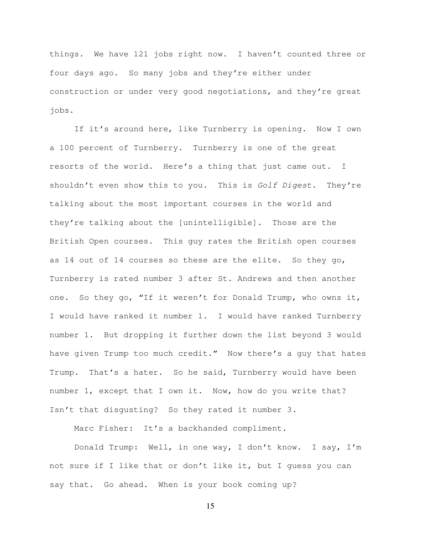things. We have 121 jobs right now. I haven't counted three or four days ago. So many jobs and they're either under construction or under very good negotiations, and they're great jobs.

If it's around here, like Turnberry is opening. Now I own a 100 percent of Turnberry. Turnberry is one of the great resorts of the world. Here's a thing that just came out. I shouldn't even show this to you. This is Golf Digest. They're talking about the most important courses in the world and they're talking about the [unintelligible]. Those are the British Open courses. This guy rates the British open courses as 14 out of 14 courses so these are the elite. So they go, Turnberry is rated number 3 after St. Andrews and then another one. So they go, "If it weren't for Donald Trump, who owns it, I would have ranked it number 1. I would have ranked Turnberry number 1. But dropping it further down the list beyond 3 would have given Trump too much credit." Now there's a guy that hates Trump. That's a hater. So he said, Turnberry would have been number 1, except that I own it. Now, how do you write that? Isn't that disgusting? So they rated it number 3.

Marc Fisher: It's a backhanded compliment.

Donald Trump: Well, in one way, I don't know. I say, I'm not sure if I like that or don't like it, but I guess you can say that. Go ahead. When is your book coming up?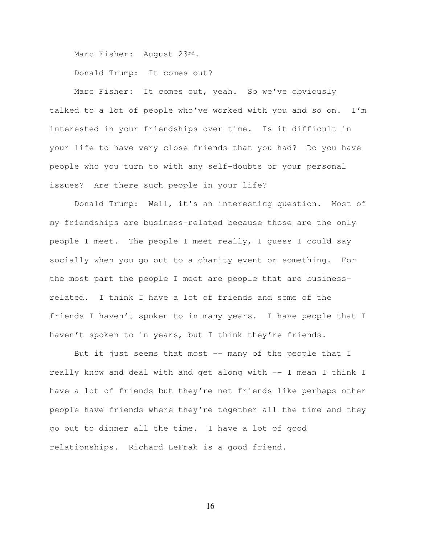Marc Fisher: August 23rd.

Donald Trump: It comes out?

Marc Fisher: It comes out, yeah. So we've obviously talked to a lot of people who've worked with you and so on. I'm interested in your friendships over time. Is it difficult in your life to have very close friends that you had? Do you have people who you turn to with any self-doubts or your personal issues? Are there such people in your life?

Donald Trump: Well, it's an interesting question. Most of my friendships are business-related because those are the only people I meet. The people I meet really, I guess I could say socially when you go out to a charity event or something. For the most part the people I meet are people that are businessrelated. I think I have a lot of friends and some of the friends I haven't spoken to in many years. I have people that I haven't spoken to in years, but I think they're friends.

But it just seems that most -- many of the people that I really know and deal with and get along with –- I mean I think I have a lot of friends but they're not friends like perhaps other people have friends where they're together all the time and they go out to dinner all the time. I have a lot of good relationships. Richard LeFrak is a good friend.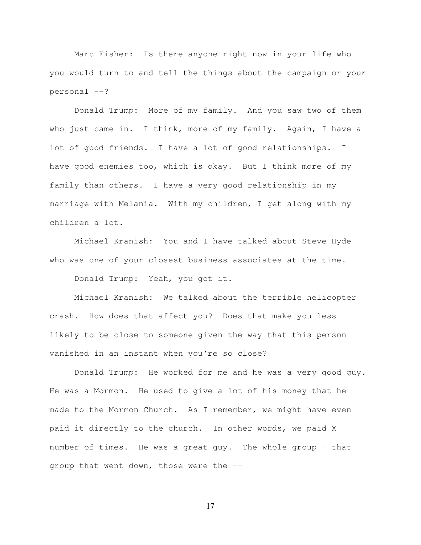Marc Fisher: Is there anyone right now in your life who you would turn to and tell the things about the campaign or your personal --?

Donald Trump: More of my family. And you saw two of them who just came in. I think, more of my family. Again, I have a lot of good friends. I have a lot of good relationships. I have good enemies too, which is okay. But I think more of my family than others. I have a very good relationship in my marriage with Melania. With my children, I get along with my children a lot.

Michael Kranish: You and I have talked about Steve Hyde who was one of your closest business associates at the time.

Donald Trump: Yeah, you got it.

Michael Kranish: We talked about the terrible helicopter crash. How does that affect you? Does that make you less likely to be close to someone given the way that this person vanished in an instant when you're so close?

Donald Trump: He worked for me and he was a very good guy. He was a Mormon. He used to give a lot of his money that he made to the Mormon Church. As I remember, we might have even paid it directly to the church. In other words, we paid X number of times. He was a great guy. The whole group – that group that went down, those were the --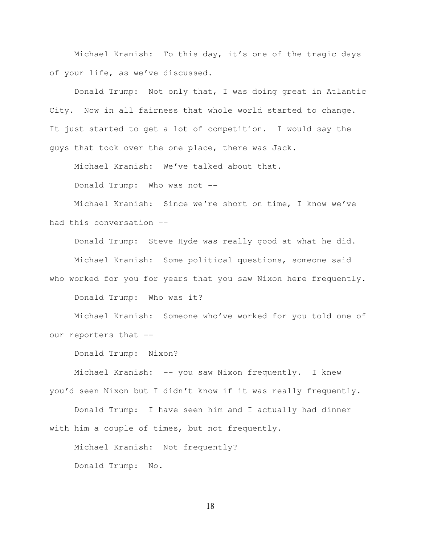Michael Kranish: To this day, it's one of the tragic days of your life, as we've discussed.

Donald Trump: Not only that, I was doing great in Atlantic City. Now in all fairness that whole world started to change. It just started to get a lot of competition. I would say the guys that took over the one place, there was Jack.

Michael Kranish: We've talked about that.

Donald Trump: Who was not --

Michael Kranish: Since we're short on time, I know we've had this conversation --

Donald Trump: Steve Hyde was really good at what he did. Michael Kranish: Some political questions, someone said who worked for you for years that you saw Nixon here frequently.

Donald Trump: Who was it?

Michael Kranish: Someone who've worked for you told one of our reporters that --

Donald Trump: Nixon?

Michael Kranish: -- you saw Nixon frequently. I knew you'd seen Nixon but I didn't know if it was really frequently.

Donald Trump: I have seen him and I actually had dinner with him a couple of times, but not frequently.

Michael Kranish: Not frequently? Donald Trump: No.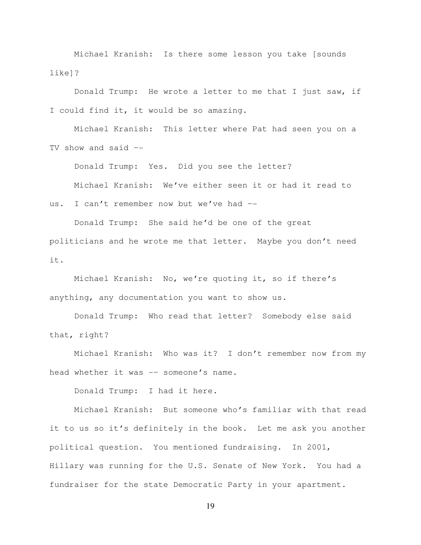Michael Kranish: Is there some lesson you take [sounds like]?

Donald Trump: He wrote a letter to me that I just saw, if I could find it, it would be so amazing.

Michael Kranish: This letter where Pat had seen you on a TV show and said –-

Donald Trump: Yes. Did you see the letter?

Michael Kranish: We've either seen it or had it read to

us. I can't remember now but we've had --

Donald Trump: She said he'd be one of the great politicians and he wrote me that letter. Maybe you don't need it.

Michael Kranish: No, we're quoting it, so if there's anything, any documentation you want to show us.

Donald Trump: Who read that letter? Somebody else said that, right?

Michael Kranish: Who was it? I don't remember now from my head whether it was -– someone's name.

Donald Trump: I had it here.

Michael Kranish: But someone who's familiar with that read it to us so it's definitely in the book. Let me ask you another political question. You mentioned fundraising. In 2001, Hillary was running for the U.S. Senate of New York. You had a fundraiser for the state Democratic Party in your apartment.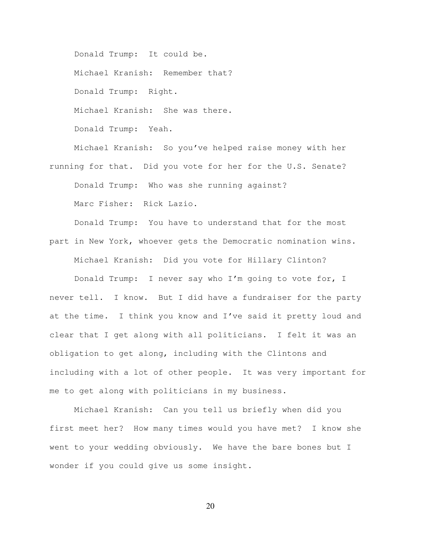Donald Trump: It could be.

Michael Kranish: Remember that?

Donald Trump: Right.

Michael Kranish: She was there.

Donald Trump: Yeah.

Michael Kranish: So you've helped raise money with her running for that. Did you vote for her for the U.S. Senate? Donald Trump: Who was she running against? Marc Fisher: Rick Lazio.

Donald Trump: You have to understand that for the most part in New York, whoever gets the Democratic nomination wins. Michael Kranish: Did you vote for Hillary Clinton?

Donald Trump: I never say who I'm going to vote for, I never tell. I know. But I did have a fundraiser for the party at the time. I think you know and I've said it pretty loud and clear that I get along with all politicians. I felt it was an obligation to get along, including with the Clintons and including with a lot of other people. It was very important for me to get along with politicians in my business.

Michael Kranish: Can you tell us briefly when did you first meet her? How many times would you have met? I know she went to your wedding obviously. We have the bare bones but I wonder if you could give us some insight.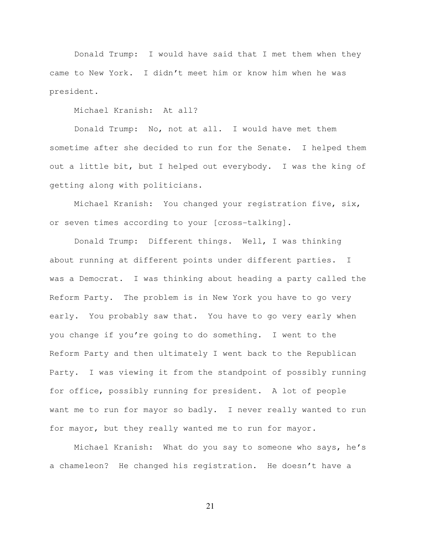Donald Trump: I would have said that I met them when they came to New York. I didn't meet him or know him when he was president.

Michael Kranish: At all?

Donald Trump: No, not at all. I would have met them sometime after she decided to run for the Senate. I helped them out a little bit, but I helped out everybody. I was the king of getting along with politicians.

Michael Kranish: You changed your registration five, six, or seven times according to your [cross-talking].

Donald Trump: Different things. Well, I was thinking about running at different points under different parties. I was a Democrat. I was thinking about heading a party called the Reform Party. The problem is in New York you have to go very early. You probably saw that. You have to go very early when you change if you're going to do something. I went to the Reform Party and then ultimately I went back to the Republican Party. I was viewing it from the standpoint of possibly running for office, possibly running for president. A lot of people want me to run for mayor so badly. I never really wanted to run for mayor, but they really wanted me to run for mayor.

Michael Kranish: What do you say to someone who says, he's a chameleon? He changed his registration. He doesn't have a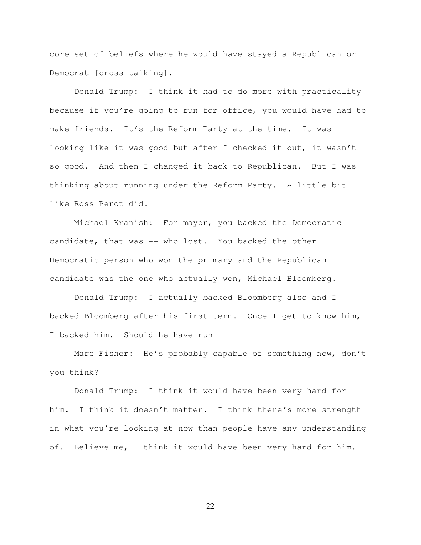core set of beliefs where he would have stayed a Republican or Democrat [cross-talking].

Donald Trump: I think it had to do more with practicality because if you're going to run for office, you would have had to make friends. It's the Reform Party at the time. It was looking like it was good but after I checked it out, it wasn't so good. And then I changed it back to Republican. But I was thinking about running under the Reform Party. A little bit like Ross Perot did.

Michael Kranish: For mayor, you backed the Democratic candidate, that was -- who lost. You backed the other Democratic person who won the primary and the Republican candidate was the one who actually won, Michael Bloomberg.

Donald Trump: I actually backed Bloomberg also and I backed Bloomberg after his first term. Once I get to know him, I backed him. Should he have run –-

Marc Fisher: He's probably capable of something now, don't you think?

Donald Trump: I think it would have been very hard for him. I think it doesn't matter. I think there's more strength in what you're looking at now than people have any understanding of. Believe me, I think it would have been very hard for him.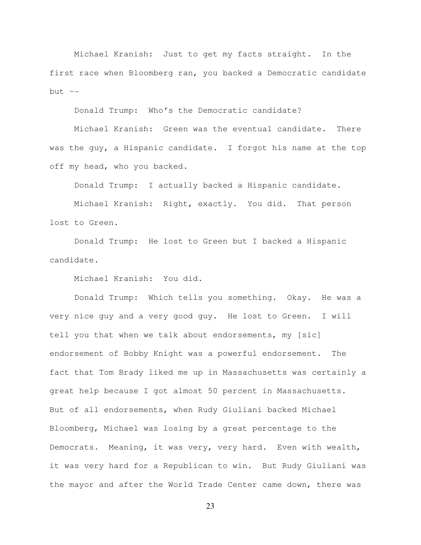Michael Kranish: Just to get my facts straight. In the first race when Bloomberg ran, you backed a Democratic candidate but  $--$ 

Donald Trump: Who's the Democratic candidate?

Michael Kranish: Green was the eventual candidate. There was the guy, a Hispanic candidate. I forgot his name at the top off my head, who you backed.

Donald Trump: I actually backed a Hispanic candidate.

Michael Kranish: Right, exactly. You did. That person lost to Green.

Donald Trump: He lost to Green but I backed a Hispanic candidate.

Michael Kranish: You did.

Donald Trump: Which tells you something. Okay. He was a very nice guy and a very good guy. He lost to Green. I will tell you that when we talk about endorsements, my [sic] endorsement of Bobby Knight was a powerful endorsement. The fact that Tom Brady liked me up in Massachusetts was certainly a great help because I got almost 50 percent in Massachusetts. But of all endorsements, when Rudy Giuliani backed Michael Bloomberg, Michael was losing by a great percentage to the Democrats. Meaning, it was very, very hard. Even with wealth, it was very hard for a Republican to win. But Rudy Giuliani was the mayor and after the World Trade Center came down, there was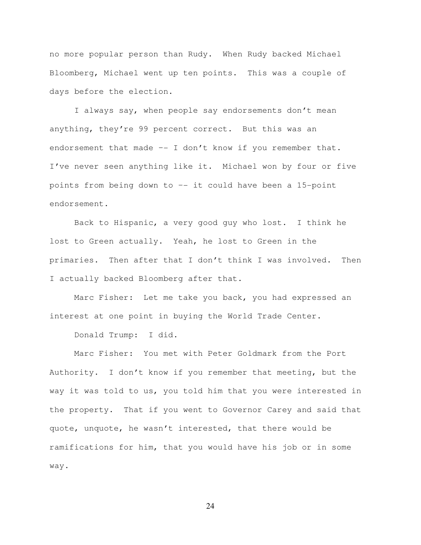no more popular person than Rudy. When Rudy backed Michael Bloomberg, Michael went up ten points. This was a couple of days before the election.

I always say, when people say endorsements don't mean anything, they're 99 percent correct. But this was an endorsement that made -- I don't know if you remember that. I've never seen anything like it. Michael won by four or five points from being down to –- it could have been a 15-point endorsement.

Back to Hispanic, a very good guy who lost. I think he lost to Green actually. Yeah, he lost to Green in the primaries. Then after that I don't think I was involved. Then I actually backed Bloomberg after that.

Marc Fisher: Let me take you back, you had expressed an interest at one point in buying the World Trade Center.

Donald Trump: I did.

Marc Fisher: You met with Peter Goldmark from the Port Authority. I don't know if you remember that meeting, but the way it was told to us, you told him that you were interested in the property. That if you went to Governor Carey and said that quote, unquote, he wasn't interested, that there would be ramifications for him, that you would have his job or in some way.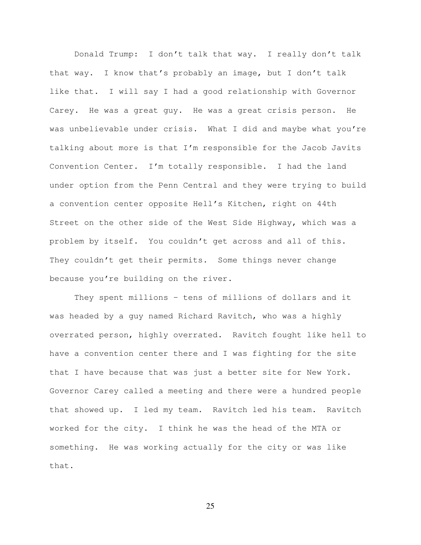Donald Trump: I don't talk that way. I really don't talk that way. I know that's probably an image, but I don't talk like that. I will say I had a good relationship with Governor Carey. He was a great guy. He was a great crisis person. He was unbelievable under crisis. What I did and maybe what you're talking about more is that I'm responsible for the Jacob Javits Convention Center. I'm totally responsible. I had the land under option from the Penn Central and they were trying to build a convention center opposite Hell's Kitchen, right on 44th Street on the other side of the West Side Highway, which was a problem by itself. You couldn't get across and all of this. They couldn't get their permits. Some things never change because you're building on the river.

They spent millions – tens of millions of dollars and it was headed by a guy named Richard Ravitch, who was a highly overrated person, highly overrated. Ravitch fought like hell to have a convention center there and I was fighting for the site that I have because that was just a better site for New York. Governor Carey called a meeting and there were a hundred people that showed up. I led my team. Ravitch led his team. Ravitch worked for the city. I think he was the head of the MTA or something. He was working actually for the city or was like that.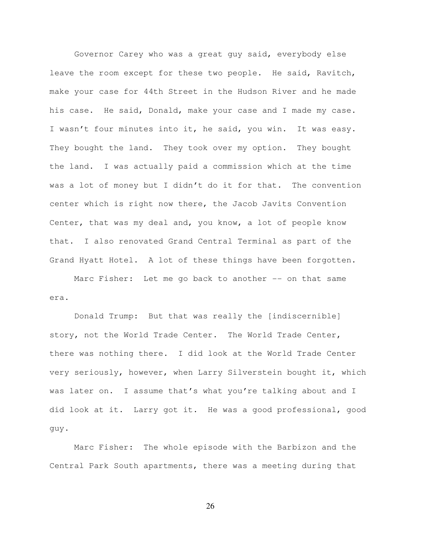Governor Carey who was a great guy said, everybody else leave the room except for these two people. He said, Ravitch, make your case for 44th Street in the Hudson River and he made his case. He said, Donald, make your case and I made my case. I wasn't four minutes into it, he said, you win. It was easy. They bought the land. They took over my option. They bought the land. I was actually paid a commission which at the time was a lot of money but I didn't do it for that. The convention center which is right now there, the Jacob Javits Convention Center, that was my deal and, you know, a lot of people know that. I also renovated Grand Central Terminal as part of the Grand Hyatt Hotel. A lot of these things have been forgotten.

Marc Fisher: Let me go back to another -- on that same era.

 Donald Trump: But that was really the [indiscernible] story, not the World Trade Center. The World Trade Center, there was nothing there. I did look at the World Trade Center very seriously, however, when Larry Silverstein bought it, which was later on. I assume that's what you're talking about and I did look at it. Larry got it. He was a good professional, good guy.

 Marc Fisher: The whole episode with the Barbizon and the Central Park South apartments, there was a meeting during that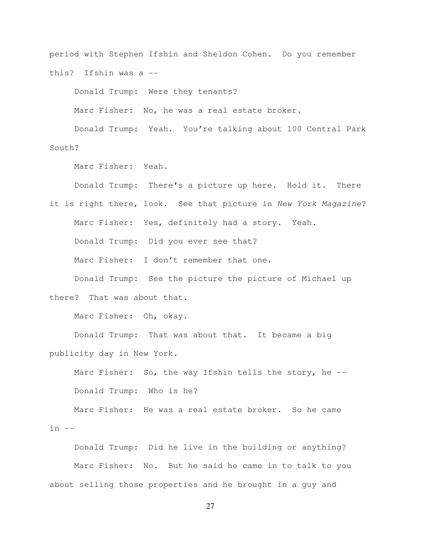period with Stephen Ifshin and Sheldon Cohen. Do you remember this? Ifshin was a --

Donald Trump: Were they tenants?

Marc Fisher: No, he was a real estate broker.

 Donald Trump: Yeah. You're talking about 100 Central Park South?

Marc Fisher: Yeah.

Donald Trump: There's a picture up here. Hold it. There

it is right there, look. See that picture in New York Magazine? Marc Fisher: Yes, definitely had a story. Yeah. Donald Trump: Did you ever see that? Marc Fisher: I don't remember that one. Donald Trump: See the picture the picture of Michael up

there? That was about that.

Marc Fisher: Oh, okay.

 Donald Trump: That was about that. It became a big publicity day in New York.

Marc Fisher: So, the way Ifshin tells the story, he --Donald Trump: Who is he?

Marc Fisher: He was a real estate broker. So he came  $in$   $--$ 

 Donald Trump: Did he live in the building or anything? Marc Fisher: No. But he said he came in to talk to you about selling those properties and he brought in a guy and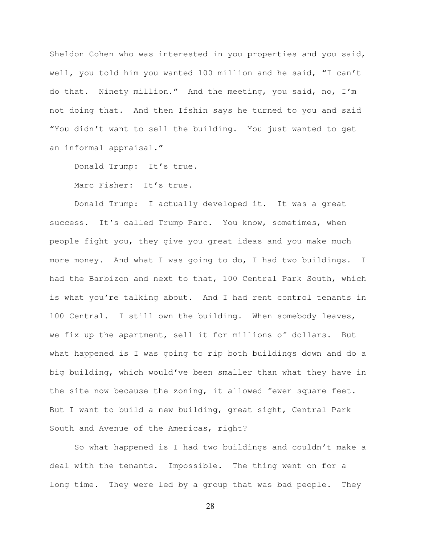Sheldon Cohen who was interested in you properties and you said, well, you told him you wanted 100 million and he said, "I can't do that. Ninety million." And the meeting, you said, no, I'm not doing that. And then Ifshin says he turned to you and said "You didn't want to sell the building. You just wanted to get an informal appraisal."

Donald Trump: It's true.

Marc Fisher: It's true.

Donald Trump: I actually developed it. It was a great success. It's called Trump Parc. You know, sometimes, when people fight you, they give you great ideas and you make much more money. And what I was going to do, I had two buildings. I had the Barbizon and next to that, 100 Central Park South, which is what you're talking about. And I had rent control tenants in 100 Central. I still own the building. When somebody leaves, we fix up the apartment, sell it for millions of dollars. But what happened is I was going to rip both buildings down and do a big building, which would've been smaller than what they have in the site now because the zoning, it allowed fewer square feet. But I want to build a new building, great sight, Central Park South and Avenue of the Americas, right?

So what happened is I had two buildings and couldn't make a deal with the tenants. Impossible. The thing went on for a long time. They were led by a group that was bad people. They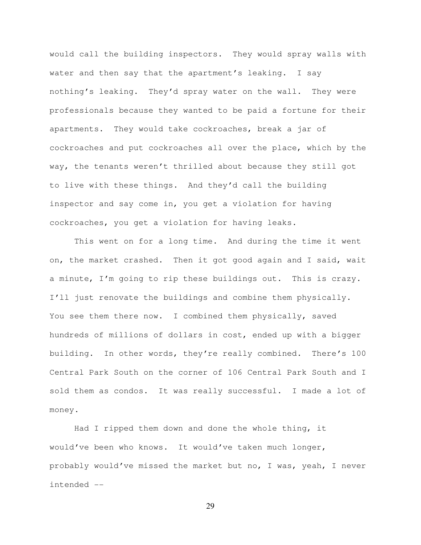would call the building inspectors. They would spray walls with water and then say that the apartment's leaking. I say nothing's leaking. They'd spray water on the wall. They were professionals because they wanted to be paid a fortune for their apartments. They would take cockroaches, break a jar of cockroaches and put cockroaches all over the place, which by the way, the tenants weren't thrilled about because they still got to live with these things. And they'd call the building inspector and say come in, you get a violation for having cockroaches, you get a violation for having leaks.

This went on for a long time. And during the time it went on, the market crashed. Then it got good again and I said, wait a minute, I'm going to rip these buildings out. This is crazy. I'll just renovate the buildings and combine them physically. You see them there now. I combined them physically, saved hundreds of millions of dollars in cost, ended up with a bigger building. In other words, they're really combined. There's 100 Central Park South on the corner of 106 Central Park South and I sold them as condos. It was really successful. I made a lot of money.

Had I ripped them down and done the whole thing, it would've been who knows. It would've taken much longer, probably would've missed the market but no, I was, yeah, I never intended --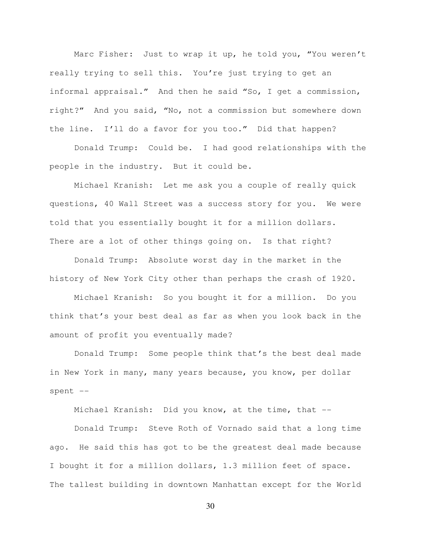Marc Fisher: Just to wrap it up, he told you, "You weren't really trying to sell this. You're just trying to get an informal appraisal." And then he said "So, I get a commission, right?" And you said, "No, not a commission but somewhere down the line. I'll do a favor for you too." Did that happen?

 Donald Trump: Could be. I had good relationships with the people in the industry. But it could be.

 Michael Kranish: Let me ask you a couple of really quick questions, 40 Wall Street was a success story for you. We were told that you essentially bought it for a million dollars. There are a lot of other things going on. Is that right?

 Donald Trump: Absolute worst day in the market in the history of New York City other than perhaps the crash of 1920.

 Michael Kranish: So you bought it for a million. Do you think that's your best deal as far as when you look back in the amount of profit you eventually made?

 Donald Trump: Some people think that's the best deal made in New York in many, many years because, you know, per dollar spent --

Michael Kranish: Did you know, at the time, that --

 Donald Trump: Steve Roth of Vornado said that a long time ago. He said this has got to be the greatest deal made because I bought it for a million dollars, 1.3 million feet of space. The tallest building in downtown Manhattan except for the World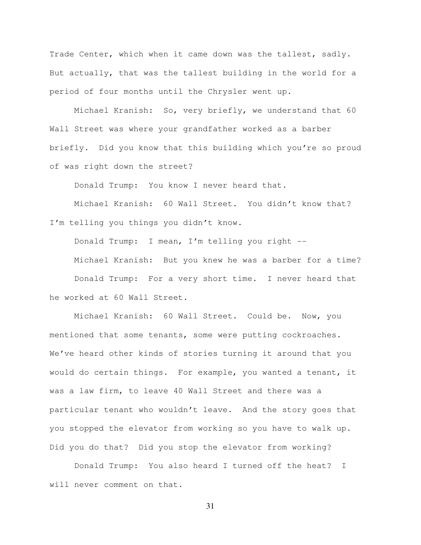Trade Center, which when it came down was the tallest, sadly. But actually, that was the tallest building in the world for a period of four months until the Chrysler went up.

 Michael Kranish: So, very briefly, we understand that 60 Wall Street was where your grandfather worked as a barber briefly. Did you know that this building which you're so proud of was right down the street?

Donald Trump: You know I never heard that.

 Michael Kranish: 60 Wall Street. You didn't know that? I'm telling you things you didn't know.

Donald Trump: I mean, I'm telling you right --

 Michael Kranish: But you knew he was a barber for a time? Donald Trump: For a very short time. I never heard that he worked at 60 Wall Street.

Michael Kranish: 60 Wall Street. Could be. Now, you mentioned that some tenants, some were putting cockroaches. We've heard other kinds of stories turning it around that you would do certain things. For example, you wanted a tenant, it was a law firm, to leave 40 Wall Street and there was a particular tenant who wouldn't leave. And the story goes that you stopped the elevator from working so you have to walk up. Did you do that? Did you stop the elevator from working?

 Donald Trump: You also heard I turned off the heat? I will never comment on that.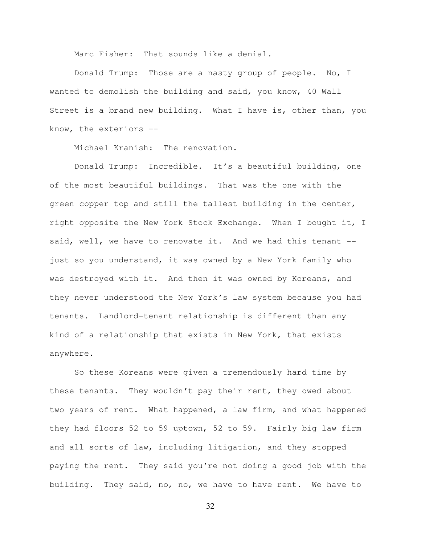Marc Fisher: That sounds like a denial.

 Donald Trump: Those are a nasty group of people. No, I wanted to demolish the building and said, you know, 40 Wall Street is a brand new building. What I have is, other than, you know, the exteriors --

Michael Kranish: The renovation.

 Donald Trump: Incredible. It's a beautiful building, one of the most beautiful buildings. That was the one with the green copper top and still the tallest building in the center, right opposite the New York Stock Exchange. When I bought it, I said, well, we have to renovate it. And we had this tenant -just so you understand, it was owned by a New York family who was destroyed with it. And then it was owned by Koreans, and they never understood the New York's law system because you had tenants. Landlord-tenant relationship is different than any kind of a relationship that exists in New York, that exists anywhere.

So these Koreans were given a tremendously hard time by these tenants. They wouldn't pay their rent, they owed about two years of rent. What happened, a law firm, and what happened they had floors 52 to 59 uptown, 52 to 59. Fairly big law firm and all sorts of law, including litigation, and they stopped paying the rent. They said you're not doing a good job with the building. They said, no, no, we have to have rent. We have to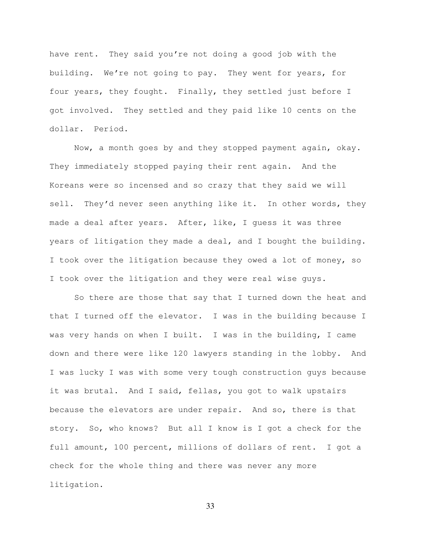have rent. They said you're not doing a good job with the building. We're not going to pay. They went for years, for four years, they fought. Finally, they settled just before I got involved. They settled and they paid like 10 cents on the dollar. Period.

Now, a month goes by and they stopped payment again, okay. They immediately stopped paying their rent again. And the Koreans were so incensed and so crazy that they said we will sell. They'd never seen anything like it. In other words, they made a deal after years. After, like, I guess it was three years of litigation they made a deal, and I bought the building. I took over the litigation because they owed a lot of money, so I took over the litigation and they were real wise guys.

So there are those that say that I turned down the heat and that I turned off the elevator. I was in the building because I was very hands on when I built. I was in the building, I came down and there were like 120 lawyers standing in the lobby. And I was lucky I was with some very tough construction guys because it was brutal. And I said, fellas, you got to walk upstairs because the elevators are under repair. And so, there is that story. So, who knows? But all I know is I got a check for the full amount, 100 percent, millions of dollars of rent. I got a check for the whole thing and there was never any more litigation.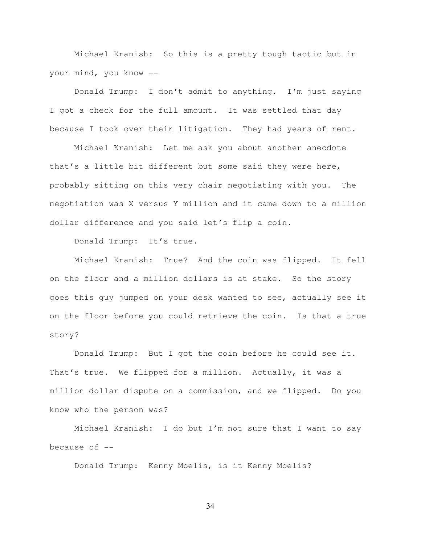Michael Kranish: So this is a pretty tough tactic but in your mind, you know --

 Donald Trump: I don't admit to anything. I'm just saying I got a check for the full amount. It was settled that day because I took over their litigation. They had years of rent.

 Michael Kranish: Let me ask you about another anecdote that's a little bit different but some said they were here, probably sitting on this very chair negotiating with you. The negotiation was X versus Y million and it came down to a million dollar difference and you said let's flip a coin.

Donald Trump: It's true.

Michael Kranish: True? And the coin was flipped. It fell on the floor and a million dollars is at stake. So the story goes this guy jumped on your desk wanted to see, actually see it on the floor before you could retrieve the coin. Is that a true story?

 Donald Trump: But I got the coin before he could see it. That's true. We flipped for a million. Actually, it was a million dollar dispute on a commission, and we flipped. Do you know who the person was?

 Michael Kranish: I do but I'm not sure that I want to say because of  $-$ 

Donald Trump: Kenny Moelis, is it Kenny Moelis?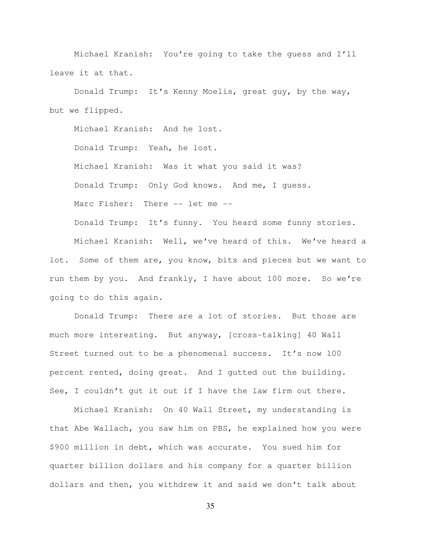Michael Kranish: You're going to take the guess and I'll leave it at that.

 Donald Trump: It's Kenny Moelis, great guy, by the way, but we flipped.

Michael Kranish: And he lost. Donald Trump: Yeah, he lost. Michael Kranish: Was it what you said it was? Donald Trump: Only God knows. And me, I guess. Marc Fisher: There -- let me --

 Michael Kranish: Well, we've heard of this. We've heard a lot. Some of them are, you know, bits and pieces but we want to run them by you. And frankly, I have about 100 more. So we're going to do this again.

Donald Trump: It's funny. You heard some funny stories.

 Donald Trump: There are a lot of stories. But those are much more interesting. But anyway, [cross-talking] 40 Wall Street turned out to be a phenomenal success. It's now 100 percent rented, doing great. And I gutted out the building. See, I couldn't gut it out if I have the law firm out there.

 Michael Kranish: On 40 Wall Street, my understanding is that Abe Wallach, you saw him on PBS, he explained how you were \$900 million in debt, which was accurate. You sued him for quarter billion dollars and his company for a quarter billion dollars and then, you withdrew it and said we don't talk about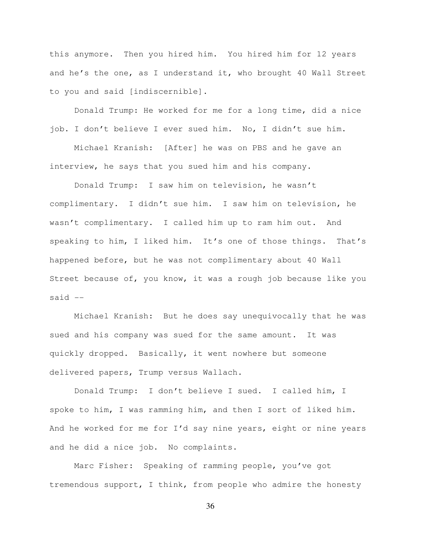this anymore. Then you hired him. You hired him for 12 years and he's the one, as I understand it, who brought 40 Wall Street to you and said [indiscernible].

 Donald Trump: He worked for me for a long time, did a nice job. I don't believe I ever sued him. No, I didn't sue him.

 Michael Kranish: [After] he was on PBS and he gave an interview, he says that you sued him and his company.

Donald Trump: I saw him on television, he wasn't complimentary. I didn't sue him. I saw him on television, he wasn't complimentary. I called him up to ram him out. And speaking to him, I liked him. It's one of those things. That's happened before, but he was not complimentary about 40 Wall Street because of, you know, it was a rough job because like you said  $--$ 

Michael Kranish: But he does say unequivocally that he was sued and his company was sued for the same amount. It was quickly dropped. Basically, it went nowhere but someone delivered papers, Trump versus Wallach.

Donald Trump: I don't believe I sued. I called him, I spoke to him, I was ramming him, and then I sort of liked him. And he worked for me for I'd say nine years, eight or nine years and he did a nice job. No complaints.

Marc Fisher: Speaking of ramming people, you've got tremendous support, I think, from people who admire the honesty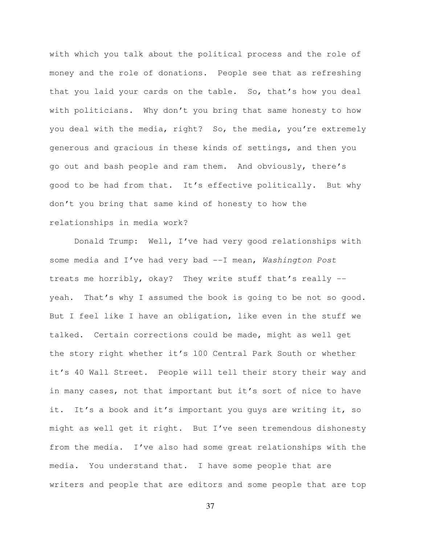with which you talk about the political process and the role of money and the role of donations. People see that as refreshing that you laid your cards on the table. So, that's how you deal with politicians. Why don't you bring that same honesty to how you deal with the media, right? So, the media, you're extremely generous and gracious in these kinds of settings, and then you go out and bash people and ram them. And obviously, there's good to be had from that. It's effective politically. But why don't you bring that same kind of honesty to how the relationships in media work?

Donald Trump: Well, I've had very good relationships with some media and I've had very bad --I mean, Washington Post treats me horribly, okay? They write stuff that's really - yeah. That's why I assumed the book is going to be not so good. But I feel like I have an obligation, like even in the stuff we talked. Certain corrections could be made, might as well get the story right whether it's 100 Central Park South or whether it's 40 Wall Street. People will tell their story their way and in many cases, not that important but it's sort of nice to have it. It's a book and it's important you guys are writing it, so might as well get it right. But I've seen tremendous dishonesty from the media. I've also had some great relationships with the media. You understand that. I have some people that are writers and people that are editors and some people that are top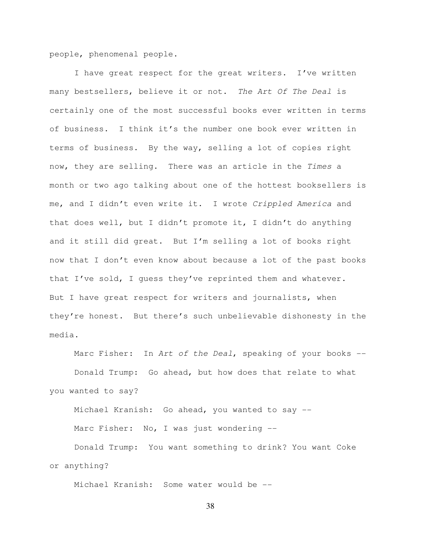people, phenomenal people.

I have great respect for the great writers. I've written many bestsellers, believe it or not. The Art Of The Deal is certainly one of the most successful books ever written in terms of business. I think it's the number one book ever written in terms of business. By the way, selling a lot of copies right now, they are selling. There was an article in the Times a month or two ago talking about one of the hottest booksellers is me, and I didn't even write it. I wrote Crippled America and that does well, but I didn't promote it, I didn't do anything and it still did great. But I'm selling a lot of books right now that I don't even know about because a lot of the past books that I've sold, I guess they've reprinted them and whatever. But I have great respect for writers and journalists, when they're honest. But there's such unbelievable dishonesty in the media.

Marc Fisher: In Art of the Deal, speaking of your books  $-$ - Donald Trump: Go ahead, but how does that relate to what you wanted to say?

 Michael Kranish: Go ahead, you wanted to say -- Marc Fisher: No, I was just wondering --

 Donald Trump: You want something to drink? You want Coke or anything?

Michael Kranish: Some water would be --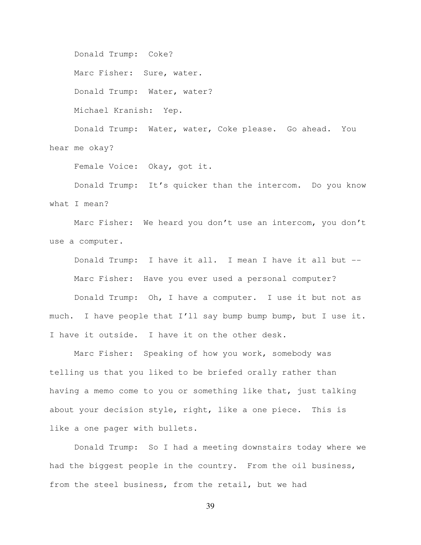Donald Trump: Coke?

Marc Fisher: Sure, water.

Donald Trump: Water, water?

Michael Kranish: Yep.

 Donald Trump: Water, water, Coke please. Go ahead. You hear me okay?

Female Voice: Okay, got it.

 Donald Trump: It's quicker than the intercom. Do you know what I mean?

 Marc Fisher: We heard you don't use an intercom, you don't use a computer.

 Donald Trump: I have it all. I mean I have it all but -- Marc Fisher: Have you ever used a personal computer?

 Donald Trump: Oh, I have a computer. I use it but not as much. I have people that I'll say bump bump bump, but I use it. I have it outside. I have it on the other desk.

 Marc Fisher: Speaking of how you work, somebody was telling us that you liked to be briefed orally rather than having a memo come to you or something like that, just talking about your decision style, right, like a one piece. This is like a one pager with bullets.

 Donald Trump: So I had a meeting downstairs today where we had the biggest people in the country. From the oil business, from the steel business, from the retail, but we had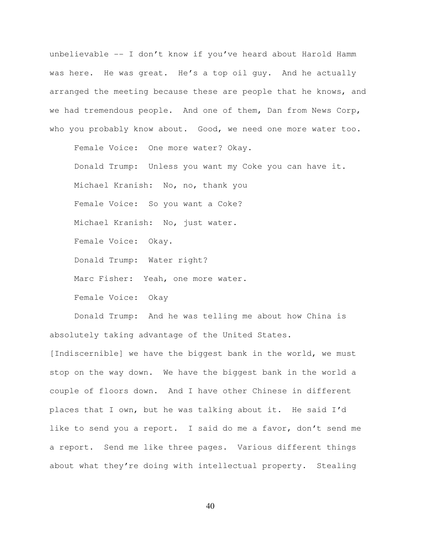unbelievable -- I don't know if you've heard about Harold Hamm was here. He was great. He's a top oil guy. And he actually arranged the meeting because these are people that he knows, and we had tremendous people. And one of them, Dan from News Corp, who you probably know about. Good, we need one more water too.

 Female Voice: One more water? Okay. Donald Trump: Unless you want my Coke you can have it. Michael Kranish: No, no, thank you Female Voice: So you want a Coke? Michael Kranish: No, just water. Female Voice: Okay. Donald Trump: Water right? Marc Fisher: Yeah, one more water. Female Voice: Okay

 Donald Trump: And he was telling me about how China is absolutely taking advantage of the United States.

[Indiscernible] we have the biggest bank in the world, we must stop on the way down. We have the biggest bank in the world a couple of floors down. And I have other Chinese in different places that I own, but he was talking about it. He said I'd like to send you a report. I said do me a favor, don't send me a report. Send me like three pages. Various different things about what they're doing with intellectual property. Stealing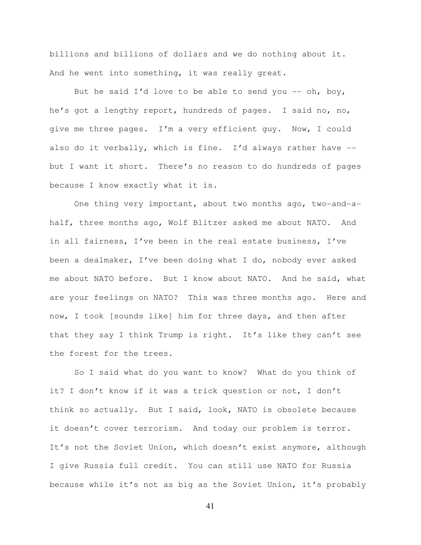billions and billions of dollars and we do nothing about it. And he went into something, it was really great.

But he said I'd love to be able to send you  $-$  oh, boy, he's got a lengthy report, hundreds of pages. I said no, no, give me three pages. I'm a very efficient guy. Now, I could also do it verbally, which is fine. I'd always rather have - but I want it short. There's no reason to do hundreds of pages because I know exactly what it is.

 One thing very important, about two months ago, two-and-ahalf, three months ago, Wolf Blitzer asked me about NATO. And in all fairness, I've been in the real estate business, I've been a dealmaker, I've been doing what I do, nobody ever asked me about NATO before. But I know about NATO. And he said, what are your feelings on NATO? This was three months ago. Here and now, I took [sounds like] him for three days, and then after that they say I think Trump is right. It's like they can't see the forest for the trees.

 So I said what do you want to know? What do you think of it? I don't know if it was a trick question or not, I don't think so actually. But I said, look, NATO is obsolete because it doesn't cover terrorism. And today our problem is terror. It's not the Soviet Union, which doesn't exist anymore, although I give Russia full credit. You can still use NATO for Russia because while it's not as big as the Soviet Union, it's probably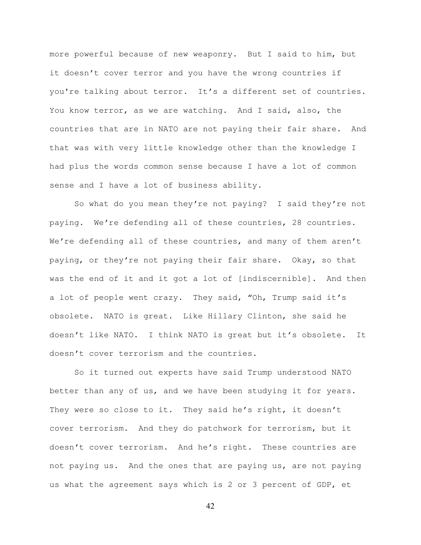more powerful because of new weaponry. But I said to him, but it doesn't cover terror and you have the wrong countries if you're talking about terror. It's a different set of countries. You know terror, as we are watching. And I said, also, the countries that are in NATO are not paying their fair share. And that was with very little knowledge other than the knowledge I had plus the words common sense because I have a lot of common sense and I have a lot of business ability.

 So what do you mean they're not paying? I said they're not paying. We're defending all of these countries, 28 countries. We're defending all of these countries, and many of them aren't paying, or they're not paying their fair share. Okay, so that was the end of it and it got a lot of [indiscernible]. And then a lot of people went crazy. They said, "Oh, Trump said it's obsolete. NATO is great. Like Hillary Clinton, she said he doesn't like NATO. I think NATO is great but it's obsolete. It doesn't cover terrorism and the countries.

So it turned out experts have said Trump understood NATO better than any of us, and we have been studying it for years. They were so close to it. They said he's right, it doesn't cover terrorism. And they do patchwork for terrorism, but it doesn't cover terrorism. And he's right. These countries are not paying us. And the ones that are paying us, are not paying us what the agreement says which is 2 or 3 percent of GDP, et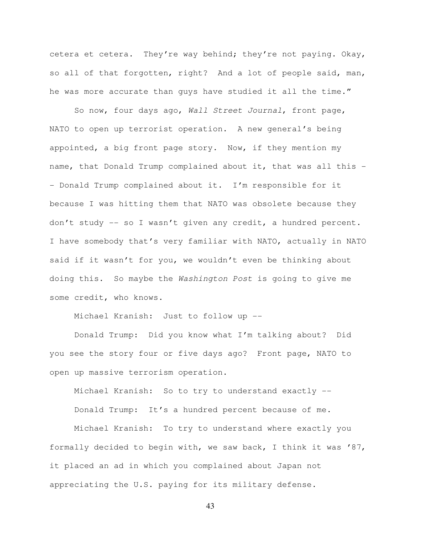cetera et cetera. They're way behind; they're not paying. Okay, so all of that forgotten, right? And a lot of people said, man, he was more accurate than guys have studied it all the time."

So now, four days ago, Wall Street Journal, front page, NATO to open up terrorist operation. A new general's being appointed, a big front page story. Now, if they mention my name, that Donald Trump complained about it, that was all this -- Donald Trump complained about it. I'm responsible for it because I was hitting them that NATO was obsolete because they don't study -- so I wasn't given any credit, a hundred percent. I have somebody that's very familiar with NATO, actually in NATO said if it wasn't for you, we wouldn't even be thinking about doing this. So maybe the Washington Post is going to give me some credit, who knows.

Michael Kranish: Just to follow up --

 Donald Trump: Did you know what I'm talking about? Did you see the story four or five days ago? Front page, NATO to open up massive terrorism operation.

Michael Kranish: So to try to understand exactly --

Donald Trump: It's a hundred percent because of me.

 Michael Kranish: To try to understand where exactly you formally decided to begin with, we saw back, I think it was '87, it placed an ad in which you complained about Japan not appreciating the U.S. paying for its military defense.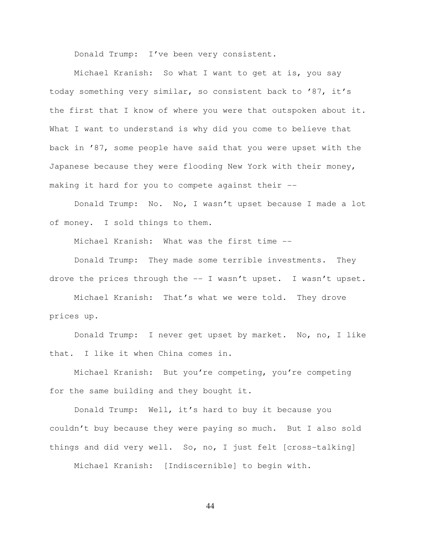Donald Trump: I've been very consistent.

 Michael Kranish: So what I want to get at is, you say today something very similar, so consistent back to '87, it's the first that I know of where you were that outspoken about it. What I want to understand is why did you come to believe that back in '87, some people have said that you were upset with the Japanese because they were flooding New York with their money, making it hard for you to compete against their --

 Donald Trump: No. No, I wasn't upset because I made a lot of money. I sold things to them.

Michael Kranish: What was the first time --

 Donald Trump: They made some terrible investments. They drove the prices through the -- I wasn't upset. I wasn't upset.

 Michael Kranish: That's what we were told. They drove prices up.

 Donald Trump: I never get upset by market. No, no, I like that. I like it when China comes in.

 Michael Kranish: But you're competing, you're competing for the same building and they bought it.

 Donald Trump: Well, it's hard to buy it because you couldn't buy because they were paying so much. But I also sold things and did very well. So, no, I just felt [cross-talking]

Michael Kranish: [Indiscernible] to begin with.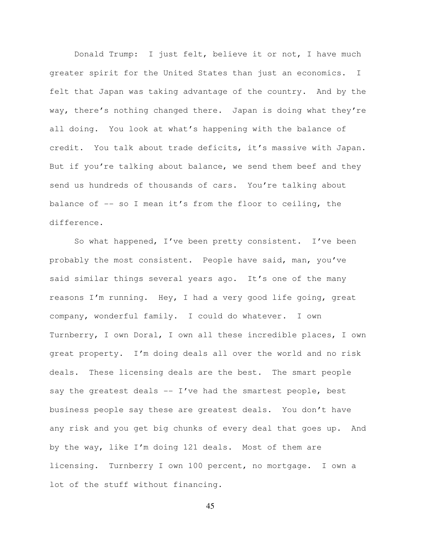Donald Trump: I just felt, believe it or not, I have much greater spirit for the United States than just an economics. I felt that Japan was taking advantage of the country. And by the way, there's nothing changed there. Japan is doing what they're all doing. You look at what's happening with the balance of credit. You talk about trade deficits, it's massive with Japan. But if you're talking about balance, we send them beef and they send us hundreds of thousands of cars. You're talking about balance of -- so I mean it's from the floor to ceiling, the difference.

 So what happened, I've been pretty consistent. I've been probably the most consistent. People have said, man, you've said similar things several years ago. It's one of the many reasons I'm running. Hey, I had a very good life going, great company, wonderful family. I could do whatever. I own Turnberry, I own Doral, I own all these incredible places, I own great property. I'm doing deals all over the world and no risk deals. These licensing deals are the best. The smart people say the greatest deals -- I've had the smartest people, best business people say these are greatest deals. You don't have any risk and you get big chunks of every deal that goes up. And by the way, like I'm doing 121 deals. Most of them are licensing. Turnberry I own 100 percent, no mortgage. I own a lot of the stuff without financing.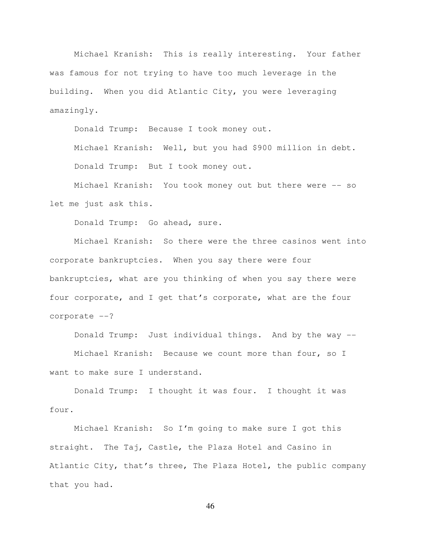Michael Kranish: This is really interesting. Your father was famous for not trying to have too much leverage in the building. When you did Atlantic City, you were leveraging amazingly.

Donald Trump: Because I took money out.

 Michael Kranish: Well, but you had \$900 million in debt. Donald Trump: But I took money out.

 Michael Kranish: You took money out but there were -- so let me just ask this.

Donald Trump: Go ahead, sure.

 Michael Kranish: So there were the three casinos went into corporate bankruptcies. When you say there were four bankruptcies, what are you thinking of when you say there were four corporate, and I get that's corporate, what are the four corporate --?

Donald Trump: Just individual things. And by the way --

 Michael Kranish: Because we count more than four, so I want to make sure I understand.

 Donald Trump: I thought it was four. I thought it was four.

 Michael Kranish: So I'm going to make sure I got this straight. The Taj, Castle, the Plaza Hotel and Casino in Atlantic City, that's three, The Plaza Hotel, the public company that you had.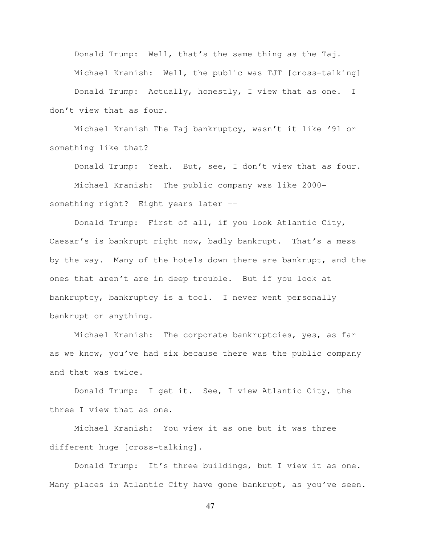Donald Trump: Well, that's the same thing as the Taj. Michael Kranish: Well, the public was TJT [cross-talking] Donald Trump: Actually, honestly, I view that as one. I

don't view that as four.

 Michael Kranish The Taj bankruptcy, wasn't it like '91 or something like that?

Donald Trump: Yeah. But, see, I don't view that as four.

 Michael Kranish: The public company was like 2000 something right? Eight years later --

 Donald Trump: First of all, if you look Atlantic City, Caesar's is bankrupt right now, badly bankrupt. That's a mess by the way. Many of the hotels down there are bankrupt, and the ones that aren't are in deep trouble. But if you look at bankruptcy, bankruptcy is a tool. I never went personally bankrupt or anything.

 Michael Kranish: The corporate bankruptcies, yes, as far as we know, you've had six because there was the public company and that was twice.

 Donald Trump: I get it. See, I view Atlantic City, the three I view that as one.

 Michael Kranish: You view it as one but it was three different huge [cross-talking].

 Donald Trump: It's three buildings, but I view it as one. Many places in Atlantic City have gone bankrupt, as you've seen.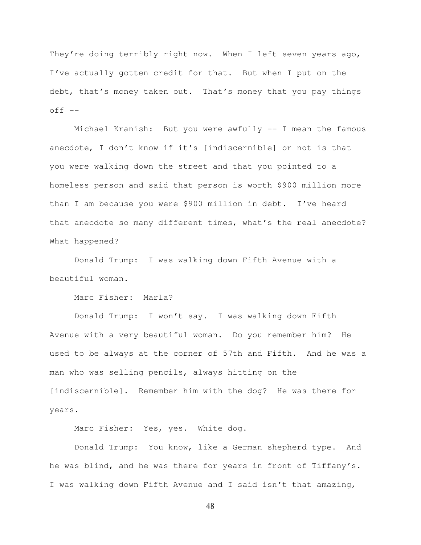They're doing terribly right now. When I left seven years ago, I've actually gotten credit for that. But when I put on the debt, that's money taken out. That's money that you pay things  $off$   $--$ 

 Michael Kranish: But you were awfully -- I mean the famous anecdote, I don't know if it's [indiscernible] or not is that you were walking down the street and that you pointed to a homeless person and said that person is worth \$900 million more than I am because you were \$900 million in debt. I've heard that anecdote so many different times, what's the real anecdote? What happened?

 Donald Trump: I was walking down Fifth Avenue with a beautiful woman.

Marc Fisher: Marla?

 Donald Trump: I won't say. I was walking down Fifth Avenue with a very beautiful woman. Do you remember him? He used to be always at the corner of 57th and Fifth. And he was a man who was selling pencils, always hitting on the [indiscernible]. Remember him with the dog? He was there for years.

Marc Fisher: Yes, yes. White dog.

 Donald Trump: You know, like a German shepherd type. And he was blind, and he was there for years in front of Tiffany's. I was walking down Fifth Avenue and I said isn't that amazing,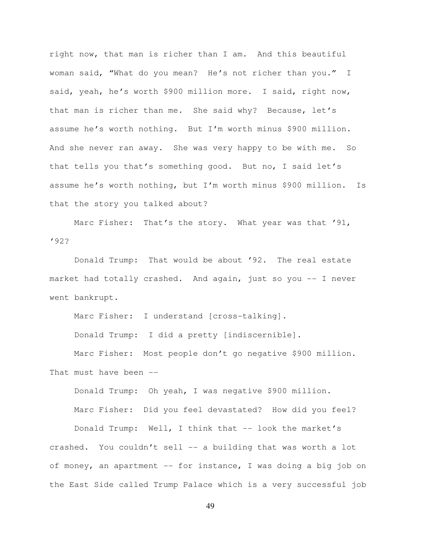right now, that man is richer than I am. And this beautiful woman said, "What do you mean? He's not richer than you." I said, yeah, he's worth \$900 million more. I said, right now, that man is richer than me. She said why? Because, let's assume he's worth nothing. But I'm worth minus \$900 million. And she never ran away. She was very happy to be with me. So that tells you that's something good. But no, I said let's assume he's worth nothing, but I'm worth minus \$900 million. Is that the story you talked about?

Marc Fisher: That's the story. What year was that '91, '92?

 Donald Trump: That would be about '92. The real estate market had totally crashed. And again, just so you -- I never went bankrupt.

Marc Fisher: I understand [cross-talking].

Donald Trump: I did a pretty [indiscernible].

 Marc Fisher: Most people don't go negative \$900 million. That must have been --

Donald Trump: Oh yeah, I was negative \$900 million.

 Marc Fisher: Did you feel devastated? How did you feel? Donald Trump: Well, I think that -- look the market's crashed. You couldn't sell -- a building that was worth a lot of money, an apartment -- for instance, I was doing a big job on the East Side called Trump Palace which is a very successful job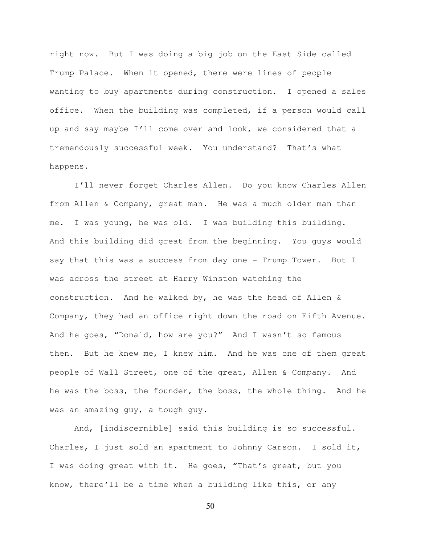right now. But I was doing a big job on the East Side called Trump Palace. When it opened, there were lines of people wanting to buy apartments during construction. I opened a sales office. When the building was completed, if a person would call up and say maybe I'll come over and look, we considered that a tremendously successful week. You understand? That's what happens.

 I'll never forget Charles Allen. Do you know Charles Allen from Allen & Company, great man. He was a much older man than me. I was young, he was old. I was building this building. And this building did great from the beginning. You guys would say that this was a success from day one - Trump Tower. But I was across the street at Harry Winston watching the construction. And he walked by, he was the head of Allen & Company, they had an office right down the road on Fifth Avenue. And he goes, "Donald, how are you?" And I wasn't so famous then. But he knew me, I knew him. And he was one of them great people of Wall Street, one of the great, Allen & Company. And he was the boss, the founder, the boss, the whole thing. And he was an amazing guy, a tough guy.

 And, [indiscernible] said this building is so successful. Charles, I just sold an apartment to Johnny Carson. I sold it, I was doing great with it. He goes, "That's great, but you know, there'll be a time when a building like this, or any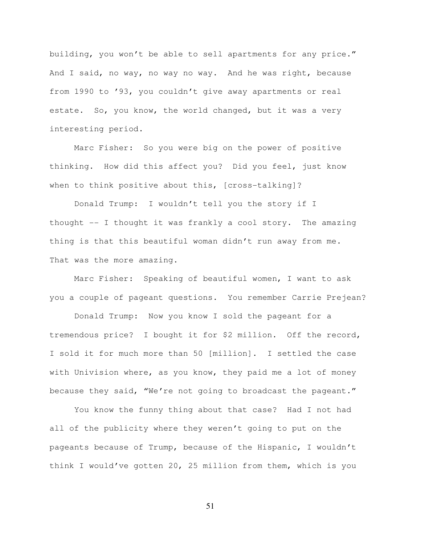building, you won't be able to sell apartments for any price." And I said, no way, no way no way. And he was right, because from 1990 to '93, you couldn't give away apartments or real estate. So, you know, the world changed, but it was a very interesting period.

 Marc Fisher: So you were big on the power of positive thinking. How did this affect you? Did you feel, just know when to think positive about this, [cross-talking]?

Donald Trump: I wouldn't tell you the story if I thought -- I thought it was frankly a cool story. The amazing thing is that this beautiful woman didn't run away from me. That was the more amazing.

Marc Fisher: Speaking of beautiful women, I want to ask you a couple of pageant questions. You remember Carrie Prejean?

Donald Trump: Now you know I sold the pageant for a tremendous price? I bought it for \$2 million. Off the record, I sold it for much more than 50 [million]. I settled the case with Univision where, as you know, they paid me a lot of money because they said, "We're not going to broadcast the pageant."

You know the funny thing about that case? Had I not had all of the publicity where they weren't going to put on the pageants because of Trump, because of the Hispanic, I wouldn't think I would've gotten 20, 25 million from them, which is you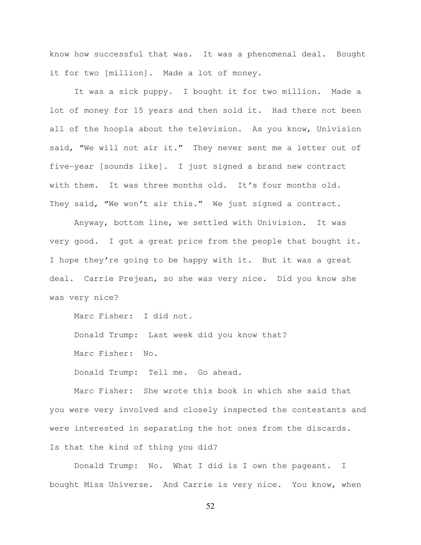know how successful that was. It was a phenomenal deal. Bought it for two [million]. Made a lot of money.

It was a sick puppy. I bought it for two million. Made a lot of money for 15 years and then sold it. Had there not been all of the hoopla about the television. As you know, Univision said, "We will not air it." They never sent me a letter out of five-year [sounds like]. I just signed a brand new contract with them. It was three months old. It's four months old. They said, "We won't air this." We just signed a contract.

Anyway, bottom line, we settled with Univision. It was very good. I got a great price from the people that bought it. I hope they're going to be happy with it. But it was a great deal. Carrie Prejean, so she was very nice. Did you know she was very nice?

Marc Fisher: I did not.

Donald Trump: Last week did you know that?

Marc Fisher: No.

Donald Trump: Tell me. Go ahead.

Marc Fisher: She wrote this book in which she said that you were very involved and closely inspected the contestants and were interested in separating the hot ones from the discards. Is that the kind of thing you did?

Donald Trump: No. What I did is I own the pageant. I bought Miss Universe. And Carrie is very nice. You know, when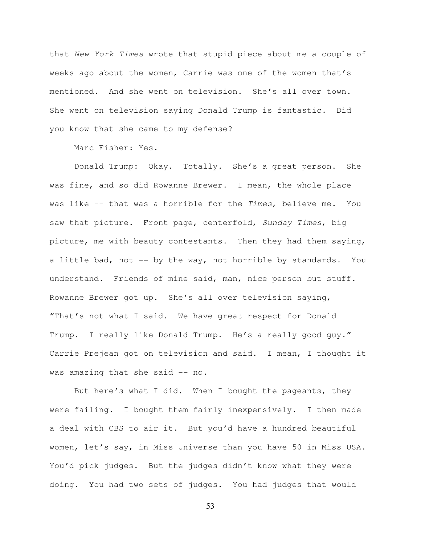that New York Times wrote that stupid piece about me a couple of weeks ago about the women, Carrie was one of the women that's mentioned. And she went on television. She's all over town. She went on television saying Donald Trump is fantastic. Did you know that she came to my defense?

Marc Fisher: Yes.

Donald Trump: Okay. Totally. She's a great person. She was fine, and so did Rowanne Brewer. I mean, the whole place was like -- that was a horrible for the Times, believe me. You saw that picture. Front page, centerfold, Sunday Times, big picture, me with beauty contestants. Then they had them saying, a little bad, not  $-$ - by the way, not horrible by standards. You understand. Friends of mine said, man, nice person but stuff. Rowanne Brewer got up. She's all over television saying, "That's not what I said. We have great respect for Donald Trump. I really like Donald Trump. He's a really good guy." Carrie Prejean got on television and said. I mean, I thought it was amazing that she said -- no.

But here's what I did. When I bought the pageants, they were failing. I bought them fairly inexpensively. I then made a deal with CBS to air it. But you'd have a hundred beautiful women, let's say, in Miss Universe than you have 50 in Miss USA. You'd pick judges. But the judges didn't know what they were doing. You had two sets of judges. You had judges that would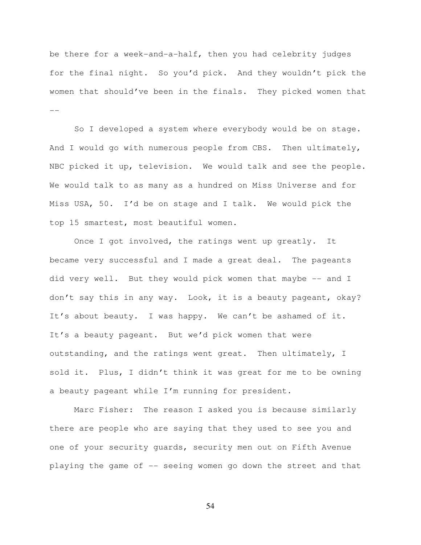be there for a week-and-a-half, then you had celebrity judges for the final night. So you'd pick. And they wouldn't pick the women that should've been in the finals. They picked women that --

So I developed a system where everybody would be on stage. And I would go with numerous people from CBS. Then ultimately, NBC picked it up, television. We would talk and see the people. We would talk to as many as a hundred on Miss Universe and for Miss USA, 50. I'd be on stage and I talk. We would pick the top 15 smartest, most beautiful women.

Once I got involved, the ratings went up greatly. It became very successful and I made a great deal. The pageants did very well. But they would pick women that maybe -- and I don't say this in any way. Look, it is a beauty pageant, okay? It's about beauty. I was happy. We can't be ashamed of it. It's a beauty pageant. But we'd pick women that were outstanding, and the ratings went great. Then ultimately, I sold it. Plus, I didn't think it was great for me to be owning a beauty pageant while I'm running for president.

Marc Fisher: The reason I asked you is because similarly there are people who are saying that they used to see you and one of your security guards, security men out on Fifth Avenue playing the game of -- seeing women go down the street and that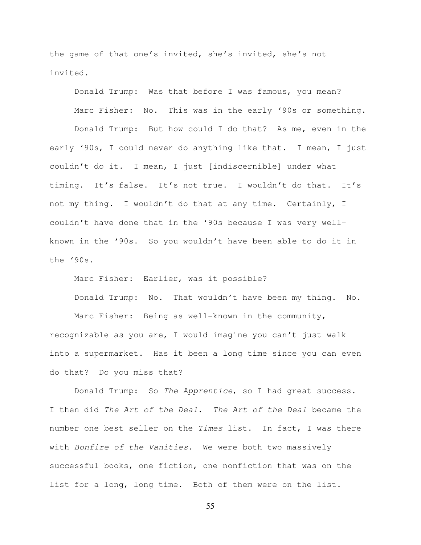the game of that one's invited, she's invited, she's not invited.

Donald Trump: Was that before I was famous, you mean? Marc Fisher: No. This was in the early '90s or something.

Donald Trump: But how could I do that? As me, even in the early '90s, I could never do anything like that. I mean, I just couldn't do it. I mean, I just [indiscernible] under what timing. It's false. It's not true. I wouldn't do that. It's not my thing. I wouldn't do that at any time. Certainly, I couldn't have done that in the '90s because I was very wellknown in the '90s. So you wouldn't have been able to do it in the '90s.

Marc Fisher: Earlier, was it possible?

Donald Trump: No. That wouldn't have been my thing. No.

Marc Fisher: Being as well-known in the community, recognizable as you are, I would imagine you can't just walk into a supermarket. Has it been a long time since you can even do that? Do you miss that?

Donald Trump: So The Apprentice, so I had great success. I then did The Art of the Deal. The Art of the Deal became the number one best seller on the Times list. In fact, I was there with Bonfire of the Vanities. We were both two massively successful books, one fiction, one nonfiction that was on the list for a long, long time. Both of them were on the list.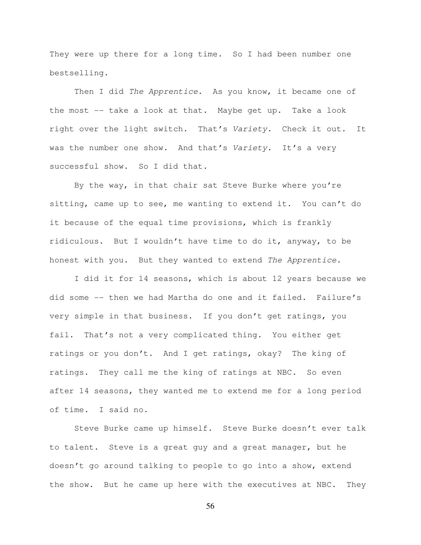They were up there for a long time. So I had been number one bestselling.

Then I did The Apprentice. As you know, it became one of the most -- take a look at that. Maybe get up. Take a look right over the light switch. That's Variety. Check it out. It was the number one show. And that's Variety. It's a very successful show. So I did that.

By the way, in that chair sat Steve Burke where you're sitting, came up to see, me wanting to extend it. You can't do it because of the equal time provisions, which is frankly ridiculous. But I wouldn't have time to do it, anyway, to be honest with you. But they wanted to extend The Apprentice.

I did it for 14 seasons, which is about 12 years because we did some -- then we had Martha do one and it failed. Failure's very simple in that business. If you don't get ratings, you fail. That's not a very complicated thing. You either get ratings or you don't. And I get ratings, okay? The king of ratings. They call me the king of ratings at NBC. So even after 14 seasons, they wanted me to extend me for a long period of time. I said no.

Steve Burke came up himself. Steve Burke doesn't ever talk to talent. Steve is a great guy and a great manager, but he doesn't go around talking to people to go into a show, extend the show. But he came up here with the executives at NBC. They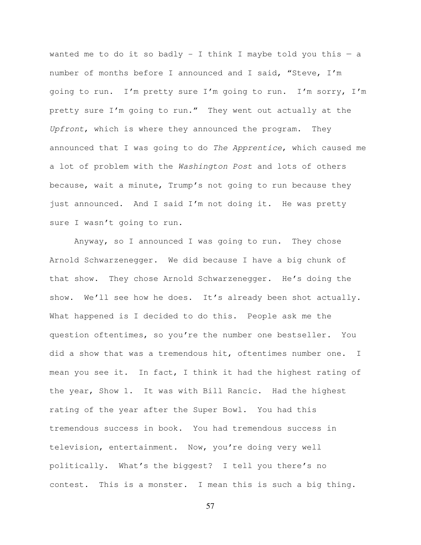wanted me to do it so badly - I think I maybe told you this  $-$  a number of months before I announced and I said, "Steve, I'm going to run. I'm pretty sure I'm going to run. I'm sorry, I'm pretty sure I'm going to run." They went out actually at the Upfront, which is where they announced the program. They announced that I was going to do The Apprentice, which caused me a lot of problem with the Washington Post and lots of others because, wait a minute, Trump's not going to run because they just announced. And I said I'm not doing it. He was pretty sure I wasn't going to run.

Anyway, so I announced I was going to run. They chose Arnold Schwarzenegger. We did because I have a big chunk of that show. They chose Arnold Schwarzenegger. He's doing the show. We'll see how he does. It's already been shot actually. What happened is I decided to do this. People ask me the question oftentimes, so you're the number one bestseller. You did a show that was a tremendous hit, oftentimes number one. I mean you see it. In fact, I think it had the highest rating of the year, Show 1. It was with Bill Rancic. Had the highest rating of the year after the Super Bowl. You had this tremendous success in book. You had tremendous success in television, entertainment. Now, you're doing very well politically. What's the biggest? I tell you there's no contest. This is a monster. I mean this is such a big thing.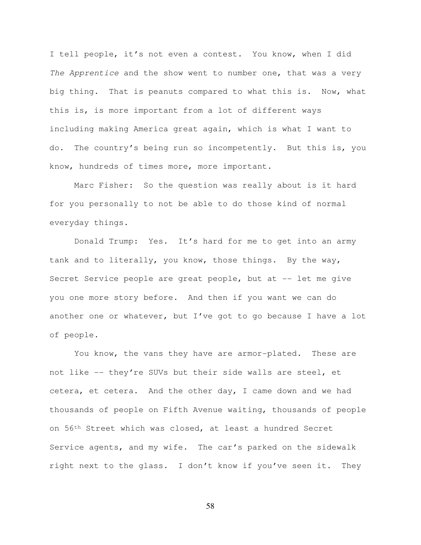I tell people, it's not even a contest. You know, when I did The Apprentice and the show went to number one, that was a very big thing. That is peanuts compared to what this is. Now, what this is, is more important from a lot of different ways including making America great again, which is what I want to do. The country's being run so incompetently. But this is, you know, hundreds of times more, more important.

Marc Fisher: So the question was really about is it hard for you personally to not be able to do those kind of normal everyday things.

Donald Trump: Yes. It's hard for me to get into an army tank and to literally, you know, those things. By the way, Secret Service people are great people, but at -- let me give you one more story before. And then if you want we can do another one or whatever, but I've got to go because I have a lot of people.

You know, the vans they have are armor-plated. These are not like -- they're SUVs but their side walls are steel, et cetera, et cetera. And the other day, I came down and we had thousands of people on Fifth Avenue waiting, thousands of people on 56th Street which was closed, at least a hundred Secret Service agents, and my wife. The car's parked on the sidewalk right next to the glass. I don't know if you've seen it. They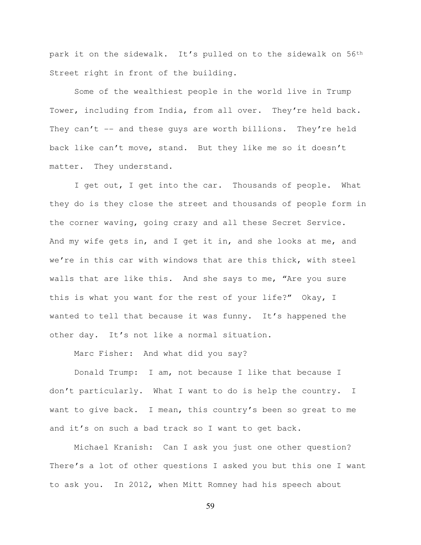park it on the sidewalk. It's pulled on to the sidewalk on 56<sup>th</sup> Street right in front of the building.

Some of the wealthiest people in the world live in Trump Tower, including from India, from all over. They're held back. They can't  $-$  and these guys are worth billions. They're held back like can't move, stand. But they like me so it doesn't matter. They understand.

I get out, I get into the car. Thousands of people. What they do is they close the street and thousands of people form in the corner waving, going crazy and all these Secret Service. And my wife gets in, and I get it in, and she looks at me, and we're in this car with windows that are this thick, with steel walls that are like this. And she says to me, "Are you sure this is what you want for the rest of your life?" Okay, I wanted to tell that because it was funny. It's happened the other day. It's not like a normal situation.

Marc Fisher: And what did you say?

Donald Trump: I am, not because I like that because I don't particularly. What I want to do is help the country. I want to give back. I mean, this country's been so great to me and it's on such a bad track so I want to get back.

Michael Kranish: Can I ask you just one other question? There's a lot of other questions I asked you but this one I want to ask you. In 2012, when Mitt Romney had his speech about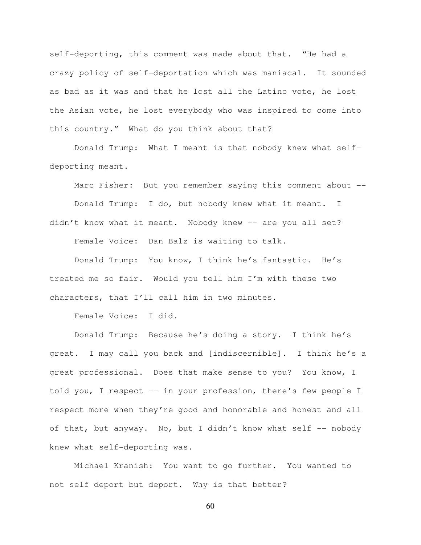self-deporting, this comment was made about that. "He had a crazy policy of self-deportation which was maniacal. It sounded as bad as it was and that he lost all the Latino vote, he lost the Asian vote, he lost everybody who was inspired to come into this country." What do you think about that?

Donald Trump: What I meant is that nobody knew what selfdeporting meant.

Marc Fisher: But you remember saying this comment about --

Donald Trump: I do, but nobody knew what it meant. I didn't know what it meant. Nobody knew -- are you all set? Female Voice: Dan Balz is waiting to talk.

Donald Trump: You know, I think he's fantastic. He's treated me so fair. Would you tell him I'm with these two characters, that I'll call him in two minutes.

Female Voice: I did.

Donald Trump: Because he's doing a story. I think he's great. I may call you back and [indiscernible]. I think he's a great professional. Does that make sense to you? You know, I told you, I respect -- in your profession, there's few people I respect more when they're good and honorable and honest and all of that, but anyway. No, but I didn't know what self -- nobody knew what self-deporting was.

Michael Kranish: You want to go further. You wanted to not self deport but deport. Why is that better?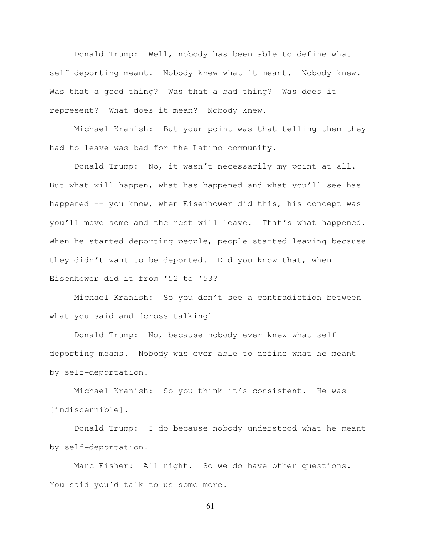Donald Trump: Well, nobody has been able to define what self-deporting meant. Nobody knew what it meant. Nobody knew. Was that a good thing? Was that a bad thing? Was does it represent? What does it mean? Nobody knew.

Michael Kranish: But your point was that telling them they had to leave was bad for the Latino community.

Donald Trump: No, it wasn't necessarily my point at all. But what will happen, what has happened and what you'll see has happened -- you know, when Eisenhower did this, his concept was you'll move some and the rest will leave. That's what happened. When he started deporting people, people started leaving because they didn't want to be deported. Did you know that, when Eisenhower did it from '52 to '53?

Michael Kranish: So you don't see a contradiction between what you said and [cross-talking]

Donald Trump: No, because nobody ever knew what selfdeporting means. Nobody was ever able to define what he meant by self-deportation.

Michael Kranish: So you think it's consistent. He was [indiscernible].

Donald Trump: I do because nobody understood what he meant by self-deportation.

Marc Fisher: All right. So we do have other questions. You said you'd talk to us some more.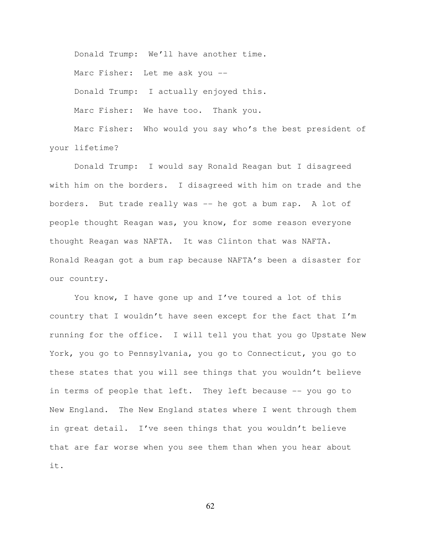Donald Trump: We'll have another time. Marc Fisher: Let me ask you --Donald Trump: I actually enjoyed this. Marc Fisher: We have too. Thank you. Marc Fisher: Who would you say who's the best president of

your lifetime?

Donald Trump: I would say Ronald Reagan but I disagreed with him on the borders. I disagreed with him on trade and the borders. But trade really was -- he got a bum rap. A lot of people thought Reagan was, you know, for some reason everyone thought Reagan was NAFTA. It was Clinton that was NAFTA. Ronald Reagan got a bum rap because NAFTA's been a disaster for our country.

You know, I have gone up and I've toured a lot of this country that I wouldn't have seen except for the fact that I'm running for the office. I will tell you that you go Upstate New York, you go to Pennsylvania, you go to Connecticut, you go to these states that you will see things that you wouldn't believe in terms of people that left. They left because -- you go to New England. The New England states where I went through them in great detail. I've seen things that you wouldn't believe that are far worse when you see them than when you hear about it.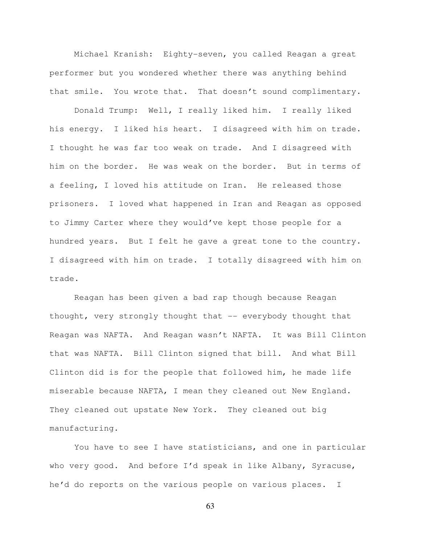Michael Kranish: Eighty-seven, you called Reagan a great performer but you wondered whether there was anything behind that smile. You wrote that. That doesn't sound complimentary.

Donald Trump: Well, I really liked him. I really liked his energy. I liked his heart. I disagreed with him on trade. I thought he was far too weak on trade. And I disagreed with him on the border. He was weak on the border. But in terms of a feeling, I loved his attitude on Iran. He released those prisoners. I loved what happened in Iran and Reagan as opposed to Jimmy Carter where they would've kept those people for a hundred years. But I felt he gave a great tone to the country. I disagreed with him on trade. I totally disagreed with him on trade.

Reagan has been given a bad rap though because Reagan thought, very strongly thought that -- everybody thought that Reagan was NAFTA. And Reagan wasn't NAFTA. It was Bill Clinton that was NAFTA. Bill Clinton signed that bill. And what Bill Clinton did is for the people that followed him, he made life miserable because NAFTA, I mean they cleaned out New England. They cleaned out upstate New York. They cleaned out big manufacturing.

You have to see I have statisticians, and one in particular who very good. And before I'd speak in like Albany, Syracuse, he'd do reports on the various people on various places. I